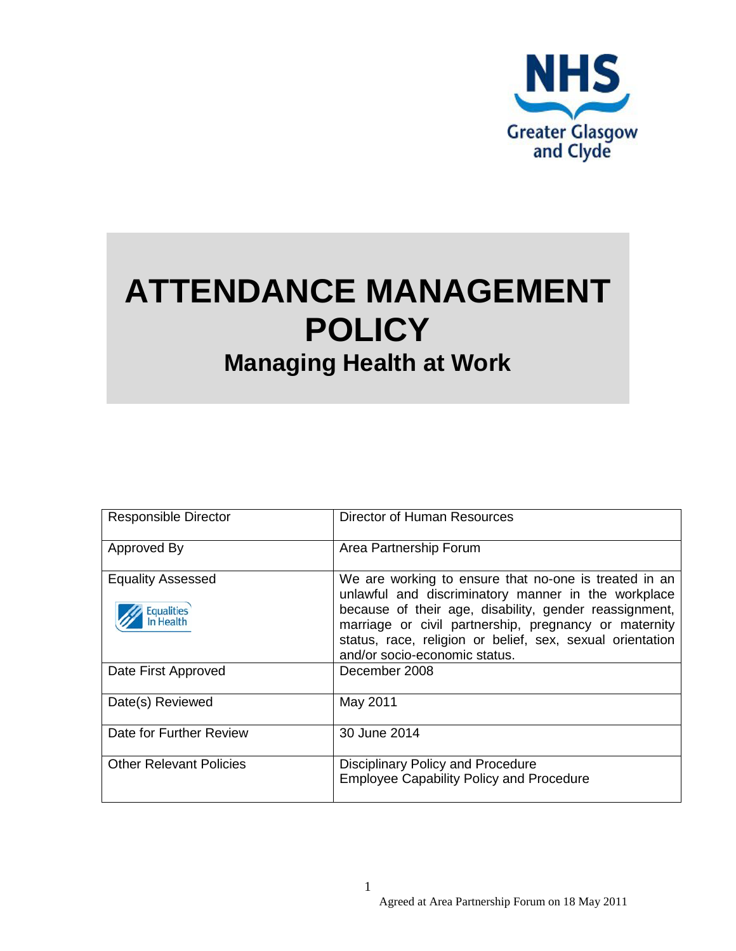

# **ATTENDANCE MANAGEMENT POLICY Managing Health at Work**

| <b>Responsible Director</b>                         | Director of Human Resources                                                                                                                                                                                                                                                                                                   |
|-----------------------------------------------------|-------------------------------------------------------------------------------------------------------------------------------------------------------------------------------------------------------------------------------------------------------------------------------------------------------------------------------|
| Approved By                                         | Area Partnership Forum                                                                                                                                                                                                                                                                                                        |
| <b>Equality Assessed</b><br>Equalities<br>In Health | We are working to ensure that no-one is treated in an<br>unlawful and discriminatory manner in the workplace<br>because of their age, disability, gender reassignment,<br>marriage or civil partnership, pregnancy or maternity<br>status, race, religion or belief, sex, sexual orientation<br>and/or socio-economic status. |
| Date First Approved                                 | December 2008                                                                                                                                                                                                                                                                                                                 |
| Date(s) Reviewed                                    | May 2011                                                                                                                                                                                                                                                                                                                      |
| Date for Further Review                             | 30 June 2014                                                                                                                                                                                                                                                                                                                  |
| <b>Other Relevant Policies</b>                      | <b>Disciplinary Policy and Procedure</b><br><b>Employee Capability Policy and Procedure</b>                                                                                                                                                                                                                                   |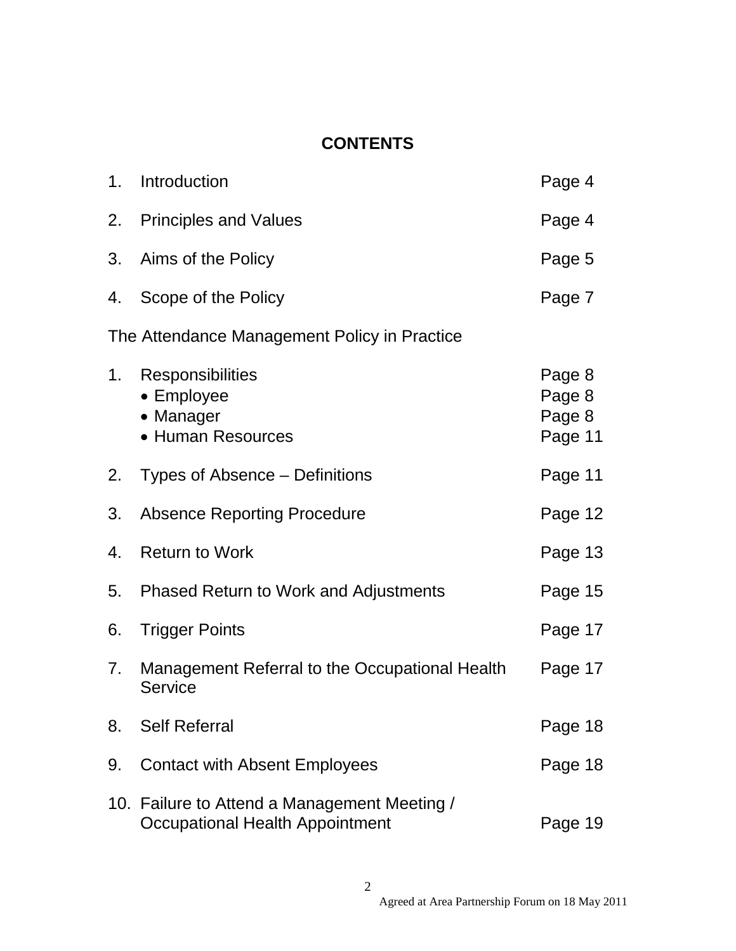## **CONTENTS**

| 1.                                           | Introduction                                                                    | Page 4                                |  |
|----------------------------------------------|---------------------------------------------------------------------------------|---------------------------------------|--|
|                                              | 2. Principles and Values                                                        | Page 4                                |  |
| 3.                                           | Aims of the Policy                                                              | Page 5                                |  |
| 4.                                           | Scope of the Policy                                                             | Page 7                                |  |
| The Attendance Management Policy in Practice |                                                                                 |                                       |  |
| 1.                                           | Responsibilities<br>• Employee<br>• Manager<br>• Human Resources                | Page 8<br>Page 8<br>Page 8<br>Page 11 |  |
| 2.                                           | Types of Absence – Definitions                                                  | Page 11                               |  |
| 3.                                           | <b>Absence Reporting Procedure</b>                                              | Page 12                               |  |
| 4.                                           | <b>Return to Work</b>                                                           | Page 13                               |  |
| 5.                                           | <b>Phased Return to Work and Adjustments</b>                                    | Page 15                               |  |
| 6.                                           | <b>Trigger Points</b>                                                           | Page 17                               |  |
| 7.                                           | Management Referral to the Occupational Health<br><b>Service</b>                | Page 17                               |  |
| 8.                                           | <b>Self Referral</b>                                                            | Page 18                               |  |
| 9.                                           | <b>Contact with Absent Employees</b>                                            | Page 18                               |  |
|                                              | 10. Failure to Attend a Management Meeting /<br>Occupational Health Appointment | Page 19                               |  |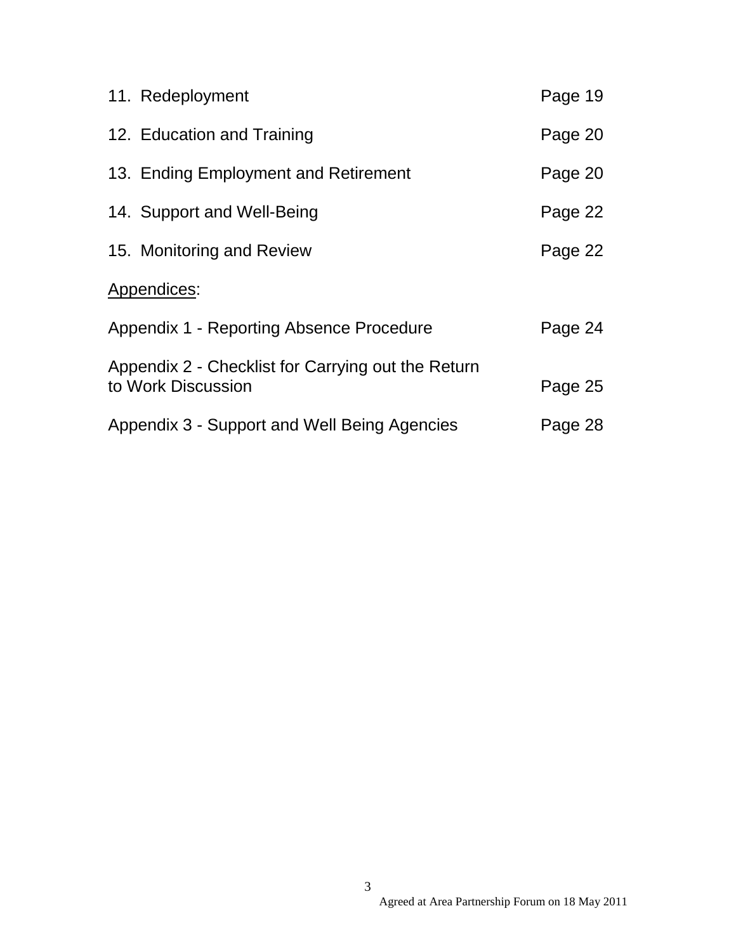| 11. Redeployment                                                         | Page 19 |
|--------------------------------------------------------------------------|---------|
| 12. Education and Training                                               | Page 20 |
| 13. Ending Employment and Retirement                                     | Page 20 |
| 14. Support and Well-Being                                               | Page 22 |
| 15. Monitoring and Review                                                | Page 22 |
| Appendices:                                                              |         |
| Appendix 1 - Reporting Absence Procedure                                 | Page 24 |
| Appendix 2 - Checklist for Carrying out the Return<br>to Work Discussion | Page 25 |
| Appendix 3 - Support and Well Being Agencies                             | Page 28 |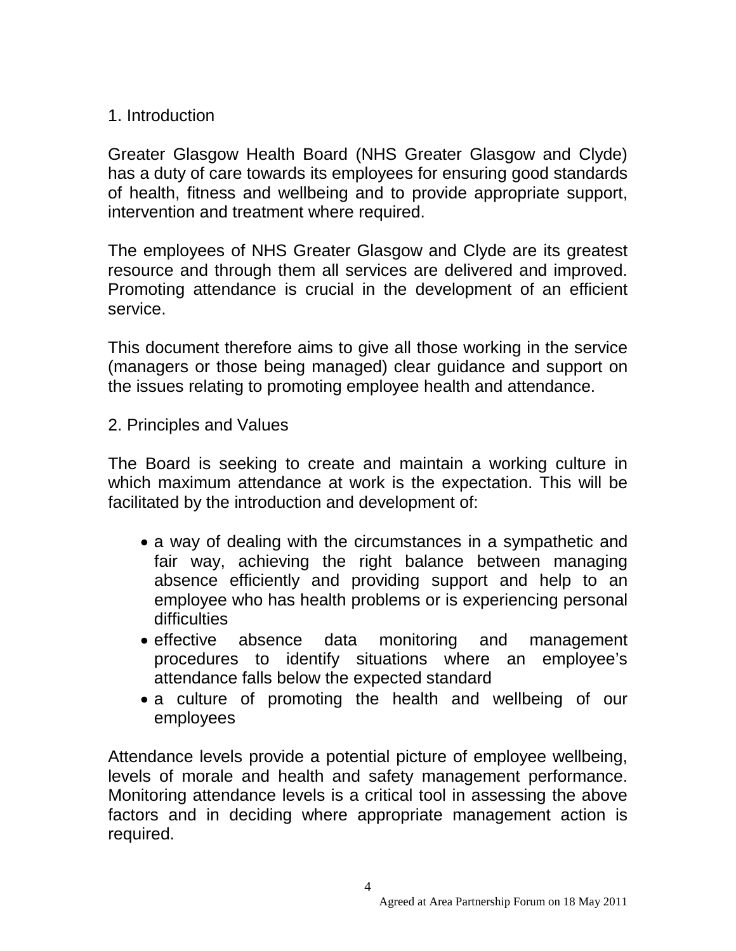## 1. Introduction

Greater Glasgow Health Board (NHS Greater Glasgow and Clyde) has a duty of care towards its employees for ensuring good standards of health, fitness and wellbeing and to provide appropriate support, intervention and treatment where required.

The employees of NHS Greater Glasgow and Clyde are its greatest resource and through them all services are delivered and improved. Promoting attendance is crucial in the development of an efficient service.

This document therefore aims to give all those working in the service (managers or those being managed) clear guidance and support on the issues relating to promoting employee health and attendance.

2. Principles and Values

The Board is seeking to create and maintain a working culture in which maximum attendance at work is the expectation. This will be facilitated by the introduction and development of:

- a way of dealing with the circumstances in a sympathetic and fair way, achieving the right balance between managing absence efficiently and providing support and help to an employee who has health problems or is experiencing personal difficulties
- effective absence data monitoring and management procedures to identify situations where an employee's attendance falls below the expected standard
- a culture of promoting the health and wellbeing of our employees

Attendance levels provide a potential picture of employee wellbeing, levels of morale and health and safety management performance. Monitoring attendance levels is a critical tool in assessing the above factors and in deciding where appropriate management action is required.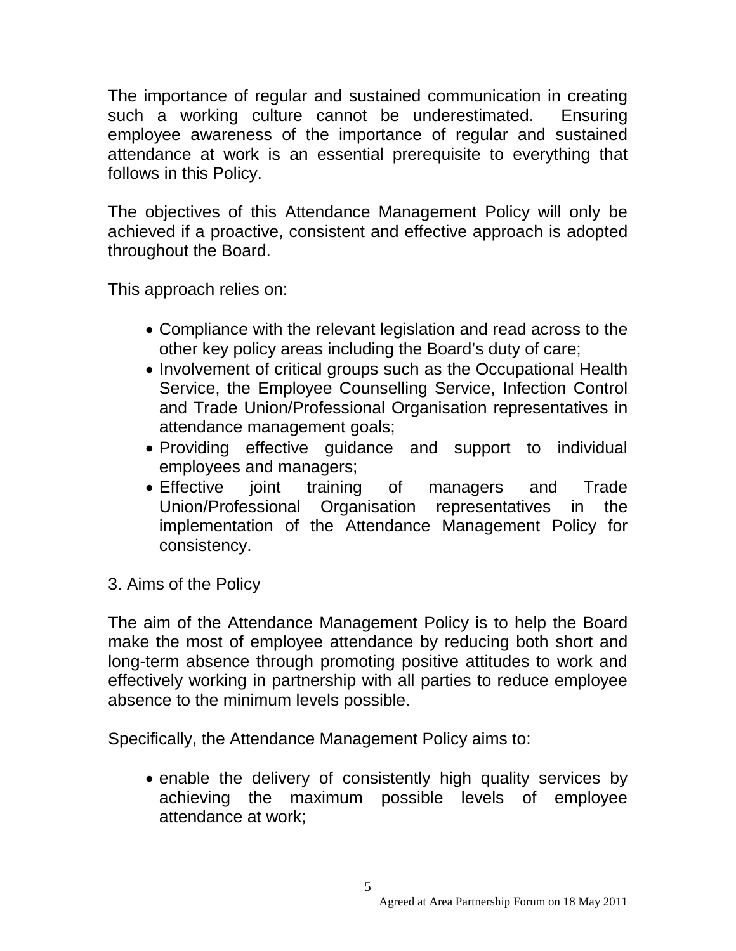The importance of regular and sustained communication in creating such a working culture cannot be underestimated. Ensuring employee awareness of the importance of regular and sustained attendance at work is an essential prerequisite to everything that follows in this Policy.

The objectives of this Attendance Management Policy will only be achieved if a proactive, consistent and effective approach is adopted throughout the Board.

This approach relies on:

- Compliance with the relevant legislation and read across to the other key policy areas including the Board's duty of care;
- Involvement of critical groups such as the Occupational Health Service, the Employee Counselling Service, Infection Control and Trade Union/Professional Organisation representatives in attendance management goals;
- Providing effective guidance and support to individual employees and managers;
- Effective joint training of managers and Trade Union/Professional Organisation representatives in the implementation of the Attendance Management Policy for consistency.
- 3. Aims of the Policy

The aim of the Attendance Management Policy is to help the Board make the most of employee attendance by reducing both short and long-term absence through promoting positive attitudes to work and effectively working in partnership with all parties to reduce employee absence to the minimum levels possible.

Specifically, the Attendance Management Policy aims to:

• enable the delivery of consistently high quality services by achieving the maximum possible levels of employee attendance at work;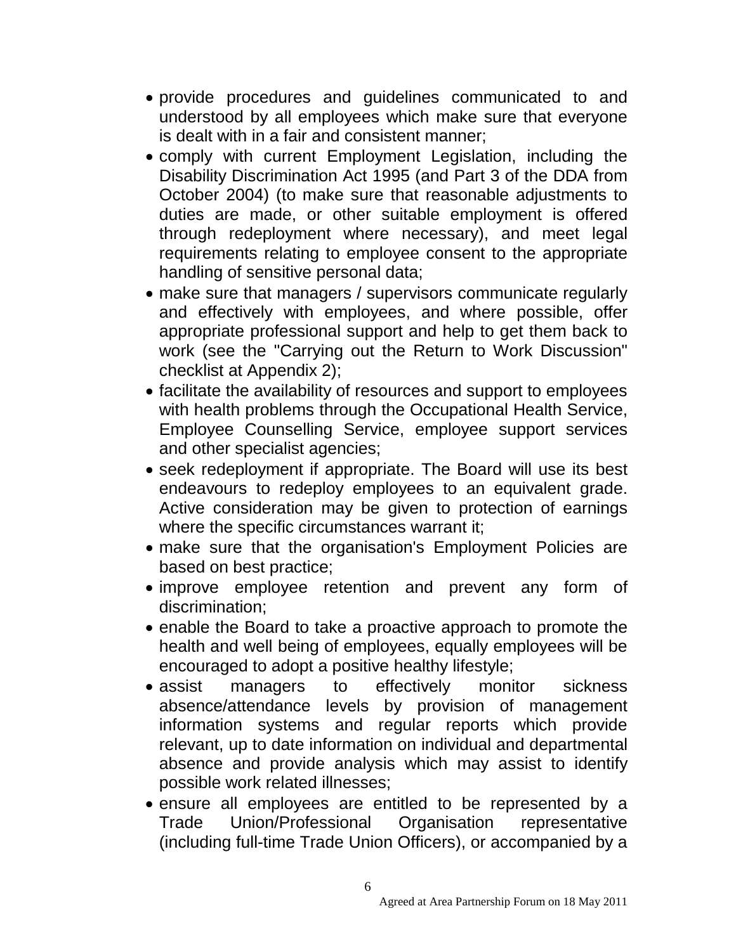- provide procedures and guidelines communicated to and understood by all employees which make sure that everyone is dealt with in a fair and consistent manner;
- comply with current Employment Legislation, including the Disability Discrimination Act 1995 (and Part 3 of the DDA from October 2004) (to make sure that reasonable adjustments to duties are made, or other suitable employment is offered through redeployment where necessary), and meet legal requirements relating to employee consent to the appropriate handling of sensitive personal data;
- make sure that managers / supervisors communicate regularly and effectively with employees, and where possible, offer appropriate professional support and help to get them back to work (see the "Carrying out the Return to Work Discussion" checklist at Appendix 2);
- facilitate the availability of resources and support to employees with health problems through the Occupational Health Service, Employee Counselling Service, employee support services and other specialist agencies;
- seek redeployment if appropriate. The Board will use its best endeavours to redeploy employees to an equivalent grade. Active consideration may be given to protection of earnings where the specific circumstances warrant it;
- make sure that the organisation's Employment Policies are based on best practice;
- improve employee retention and prevent any form of discrimination;
- enable the Board to take a proactive approach to promote the health and well being of employees, equally employees will be encouraged to adopt a positive healthy lifestyle;
- assist managers to effectively monitor sickness absence/attendance levels by provision of management information systems and regular reports which provide relevant, up to date information on individual and departmental absence and provide analysis which may assist to identify possible work related illnesses;
- ensure all employees are entitled to be represented by a Trade Union/Professional Organisation representative (including full-time Trade Union Officers), or accompanied by a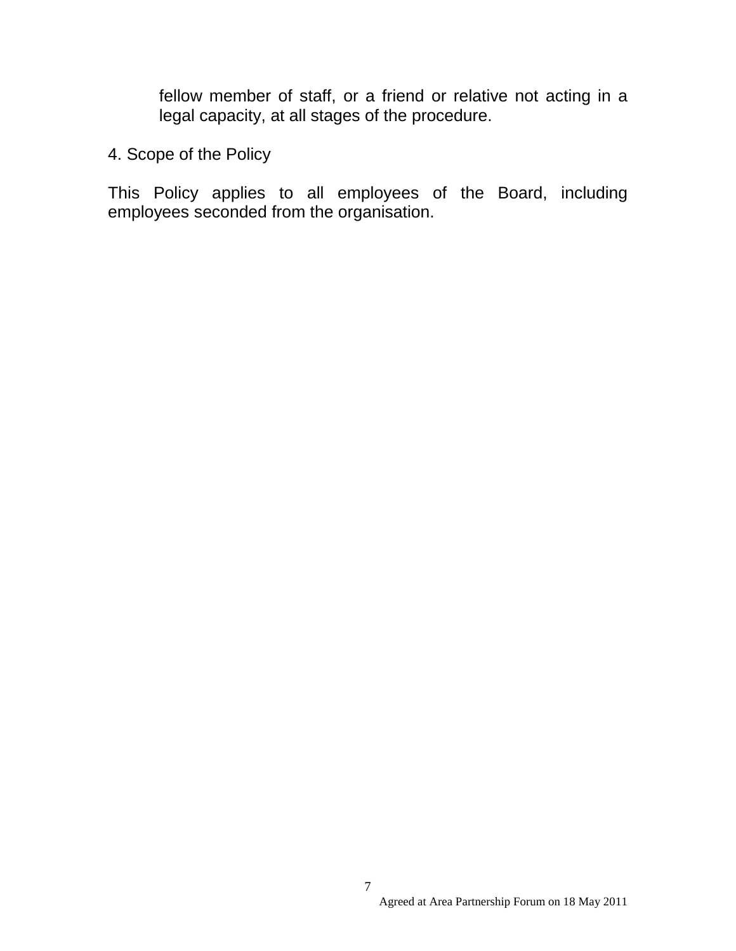fellow member of staff, or a friend or relative not acting in a legal capacity, at all stages of the procedure.

4. Scope of the Policy

This Policy applies to all employees of the Board, including employees seconded from the organisation.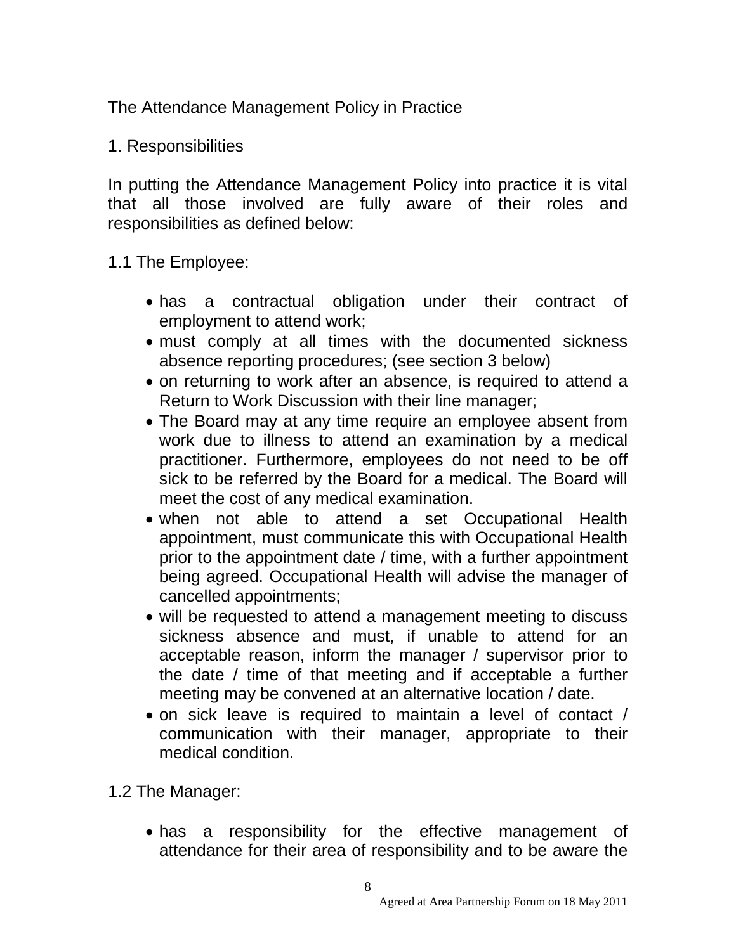The Attendance Management Policy in Practice

1. Responsibilities

In putting the Attendance Management Policy into practice it is vital that all those involved are fully aware of their roles and responsibilities as defined below:

1.1 The Employee:

- has a contractual obligation under their contract of employment to attend work;
- must comply at all times with the documented sickness absence reporting procedures; (see section 3 below)
- on returning to work after an absence, is required to attend a Return to Work Discussion with their line manager;
- The Board may at any time require an employee absent from work due to illness to attend an examination by a medical practitioner. Furthermore, employees do not need to be off sick to be referred by the Board for a medical. The Board will meet the cost of any medical examination.
- when not able to attend a set Occupational Health appointment, must communicate this with Occupational Health prior to the appointment date / time, with a further appointment being agreed. Occupational Health will advise the manager of cancelled appointments;
- will be requested to attend a management meeting to discuss sickness absence and must, if unable to attend for an acceptable reason, inform the manager / supervisor prior to the date / time of that meeting and if acceptable a further meeting may be convened at an alternative location / date.
- on sick leave is required to maintain a level of contact / communication with their manager, appropriate to their medical condition.

1.2 The Manager:

• has a responsibility for the effective management of attendance for their area of responsibility and to be aware the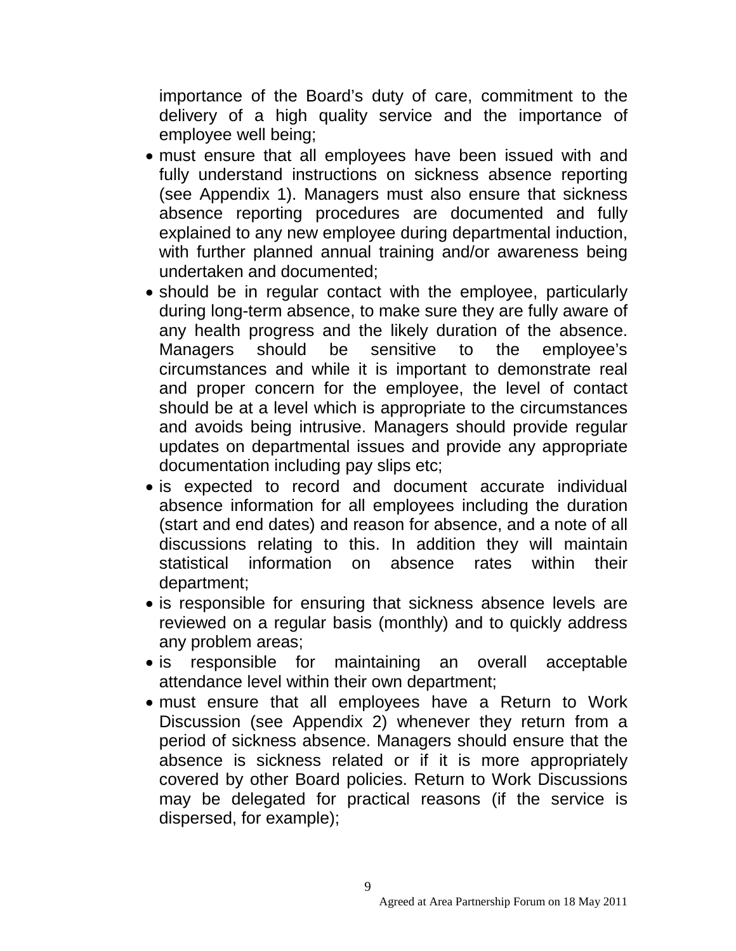importance of the Board's duty of care, commitment to the delivery of a high quality service and the importance of employee well being;

- must ensure that all employees have been issued with and fully understand instructions on sickness absence reporting (see Appendix 1). Managers must also ensure that sickness absence reporting procedures are documented and fully explained to any new employee during departmental induction, with further planned annual training and/or awareness being undertaken and documented;
- should be in regular contact with the employee, particularly during long-term absence, to make sure they are fully aware of any health progress and the likely duration of the absence. Managers should be sensitive to the employee's circumstances and while it is important to demonstrate real and proper concern for the employee, the level of contact should be at a level which is appropriate to the circumstances and avoids being intrusive. Managers should provide regular updates on departmental issues and provide any appropriate documentation including pay slips etc;
- is expected to record and document accurate individual absence information for all employees including the duration (start and end dates) and reason for absence, and a note of all discussions relating to this. In addition they will maintain statistical information on absence rates within their department;
- is responsible for ensuring that sickness absence levels are reviewed on a regular basis (monthly) and to quickly address any problem areas;
- is responsible for maintaining an overall acceptable attendance level within their own department;
- must ensure that all employees have a Return to Work Discussion (see Appendix 2) whenever they return from a period of sickness absence. Managers should ensure that the absence is sickness related or if it is more appropriately covered by other Board policies. Return to Work Discussions may be delegated for practical reasons (if the service is dispersed, for example);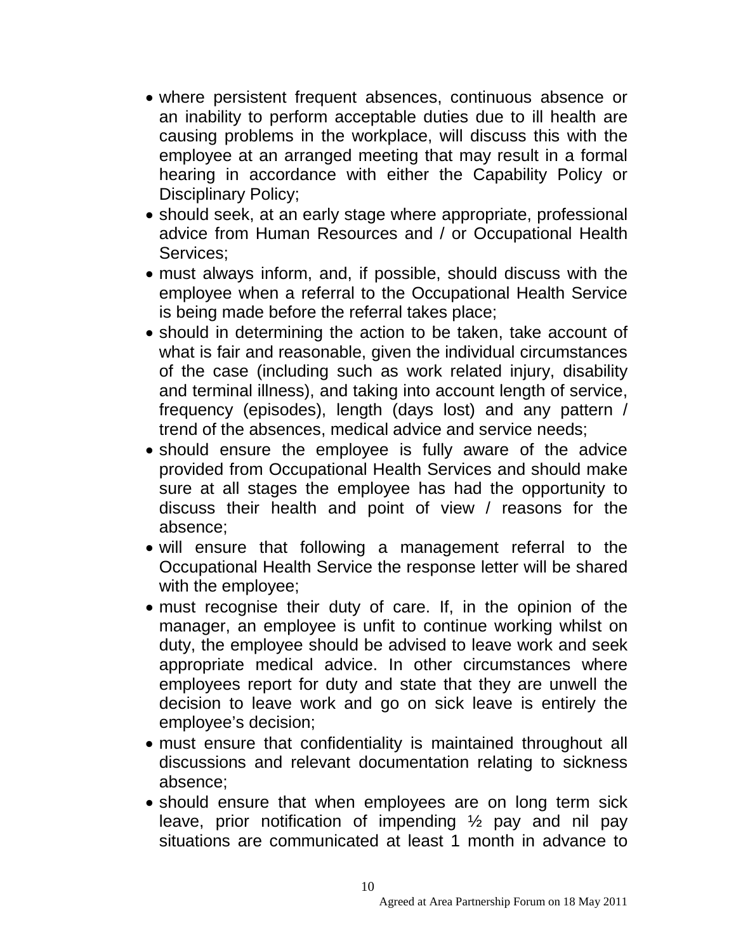- where persistent frequent absences, continuous absence or an inability to perform acceptable duties due to ill health are causing problems in the workplace, will discuss this with the employee at an arranged meeting that may result in a formal hearing in accordance with either the Capability Policy or Disciplinary Policy;
- should seek, at an early stage where appropriate, professional advice from Human Resources and / or Occupational Health Services;
- must always inform, and, if possible, should discuss with the employee when a referral to the Occupational Health Service is being made before the referral takes place;
- should in determining the action to be taken, take account of what is fair and reasonable, given the individual circumstances of the case (including such as work related injury, disability and terminal illness), and taking into account length of service, frequency (episodes), length (days lost) and any pattern / trend of the absences, medical advice and service needs;
- should ensure the employee is fully aware of the advice provided from Occupational Health Services and should make sure at all stages the employee has had the opportunity to discuss their health and point of view / reasons for the absence;
- will ensure that following a management referral to the Occupational Health Service the response letter will be shared with the employee;
- must recognise their duty of care. If, in the opinion of the manager, an employee is unfit to continue working whilst on duty, the employee should be advised to leave work and seek appropriate medical advice. In other circumstances where employees report for duty and state that they are unwell the decision to leave work and go on sick leave is entirely the employee's decision;
- must ensure that confidentiality is maintained throughout all discussions and relevant documentation relating to sickness absence;
- should ensure that when employees are on long term sick leave, prior notification of impending ½ pay and nil pay situations are communicated at least 1 month in advance to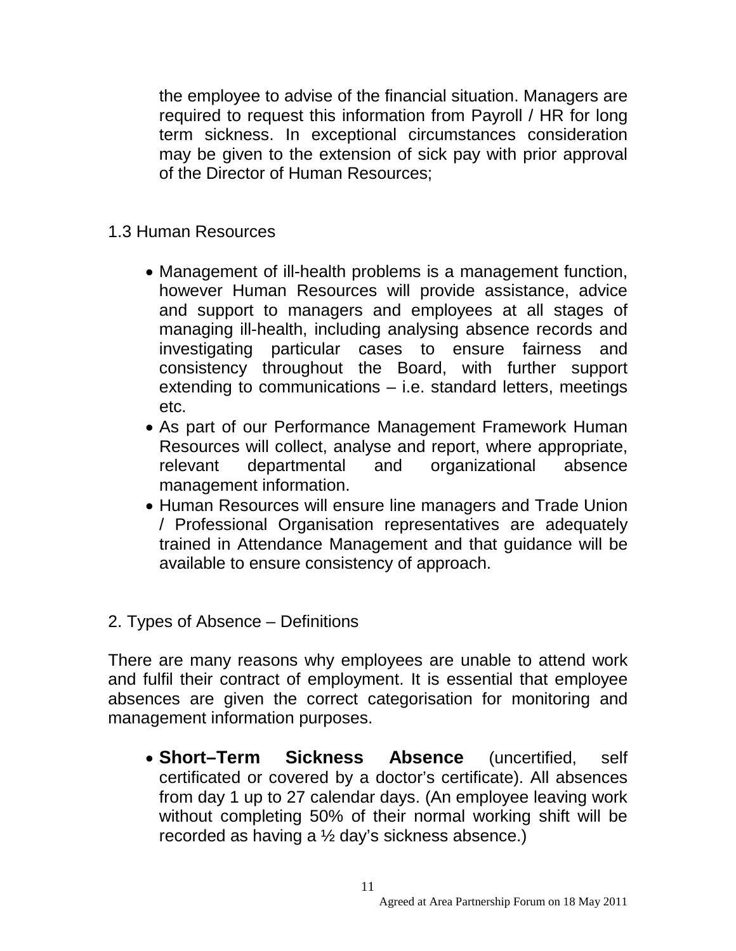the employee to advise of the financial situation. Managers are required to request this information from Payroll / HR for long term sickness. In exceptional circumstances consideration may be given to the extension of sick pay with prior approval of the Director of Human Resources;

- 1.3 Human Resources
	- Management of ill-health problems is a management function, however Human Resources will provide assistance, advice and support to managers and employees at all stages of managing ill-health, including analysing absence records and investigating particular cases to ensure fairness and consistency throughout the Board, with further support extending to communications – i.e. standard letters, meetings etc.
	- As part of our Performance Management Framework Human Resources will collect, analyse and report, where appropriate, relevant departmental and organizational absence management information.
	- Human Resources will ensure line managers and Trade Union / Professional Organisation representatives are adequately trained in Attendance Management and that guidance will be available to ensure consistency of approach.
- 2. Types of Absence Definitions

There are many reasons why employees are unable to attend work and fulfil their contract of employment. It is essential that employee absences are given the correct categorisation for monitoring and management information purposes.

• **Short–Term Sickness Absence** (uncertified, self certificated or covered by a doctor's certificate). All absences from day 1 up to 27 calendar days. (An employee leaving work without completing 50% of their normal working shift will be recorded as having a ½ day's sickness absence.)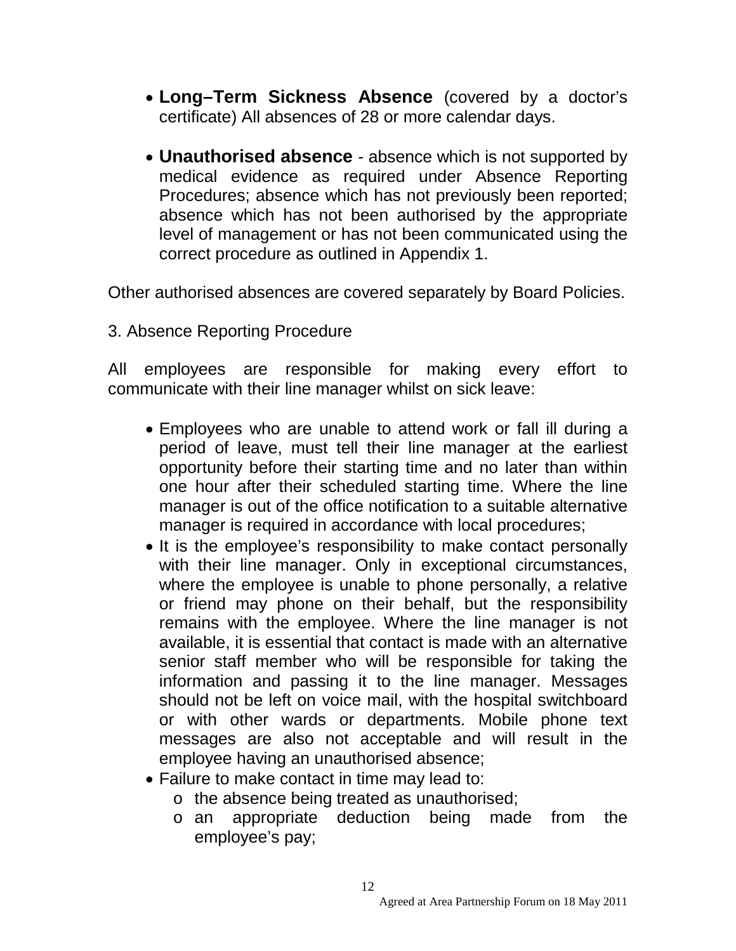- **Long–Term Sickness Absence** (covered by a doctor's certificate) All absences of 28 or more calendar days.
- **Unauthorised absence** absence which is not supported by medical evidence as required under Absence Reporting Procedures; absence which has not previously been reported; absence which has not been authorised by the appropriate level of management or has not been communicated using the correct procedure as outlined in Appendix 1.

Other authorised absences are covered separately by Board Policies.

3. Absence Reporting Procedure

All employees are responsible for making every effort to communicate with their line manager whilst on sick leave:

- Employees who are unable to attend work or fall ill during a period of leave, must tell their line manager at the earliest opportunity before their starting time and no later than within one hour after their scheduled starting time. Where the line manager is out of the office notification to a suitable alternative manager is required in accordance with local procedures;
- It is the employee's responsibility to make contact personally with their line manager. Only in exceptional circumstances, where the employee is unable to phone personally, a relative or friend may phone on their behalf, but the responsibility remains with the employee. Where the line manager is not available, it is essential that contact is made with an alternative senior staff member who will be responsible for taking the information and passing it to the line manager. Messages should not be left on voice mail, with the hospital switchboard or with other wards or departments. Mobile phone text messages are also not acceptable and will result in the employee having an unauthorised absence;
- Failure to make contact in time may lead to:
	- o the absence being treated as unauthorised;
	- o an appropriate deduction being made from the employee's pay;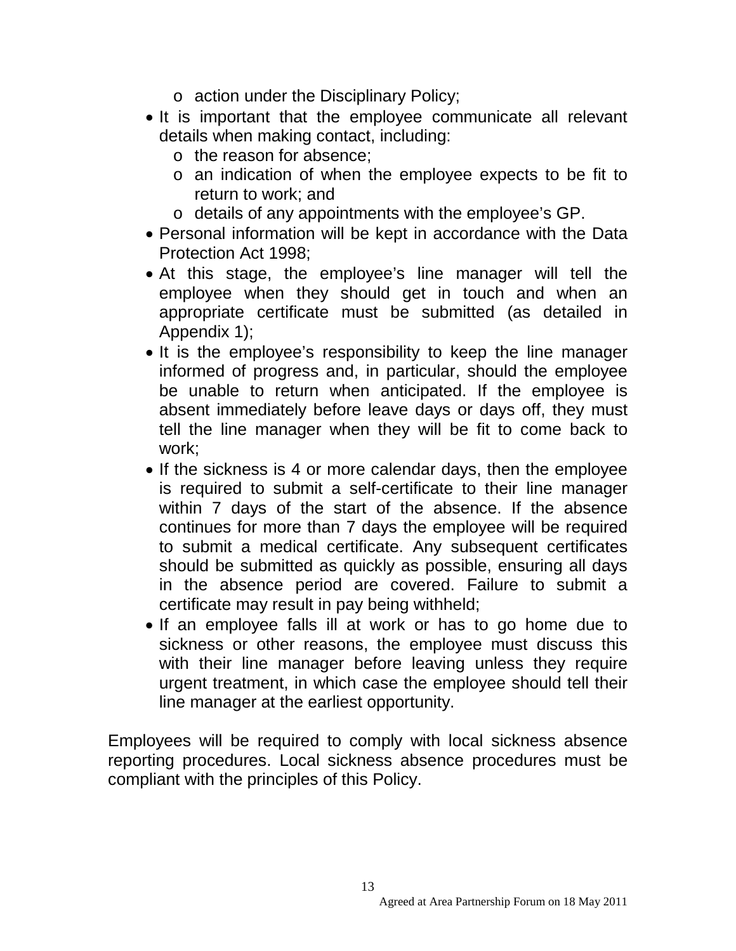- o action under the Disciplinary Policy;
- It is important that the employee communicate all relevant details when making contact, including:
	- o the reason for absence;
	- o an indication of when the employee expects to be fit to return to work; and
	- o details of any appointments with the employee's GP.
- Personal information will be kept in accordance with the Data Protection Act 1998;
- At this stage, the employee's line manager will tell the employee when they should get in touch and when an appropriate certificate must be submitted (as detailed in Appendix 1);
- It is the employee's responsibility to keep the line manager informed of progress and, in particular, should the employee be unable to return when anticipated. If the employee is absent immediately before leave days or days off, they must tell the line manager when they will be fit to come back to work;
- If the sickness is 4 or more calendar days, then the employee is required to submit a self-certificate to their line manager within 7 days of the start of the absence. If the absence continues for more than 7 days the employee will be required to submit a medical certificate. Any subsequent certificates should be submitted as quickly as possible, ensuring all days in the absence period are covered. Failure to submit a certificate may result in pay being withheld;
- If an employee falls ill at work or has to go home due to sickness or other reasons, the employee must discuss this with their line manager before leaving unless they require urgent treatment, in which case the employee should tell their line manager at the earliest opportunity.

Employees will be required to comply with local sickness absence reporting procedures. Local sickness absence procedures must be compliant with the principles of this Policy.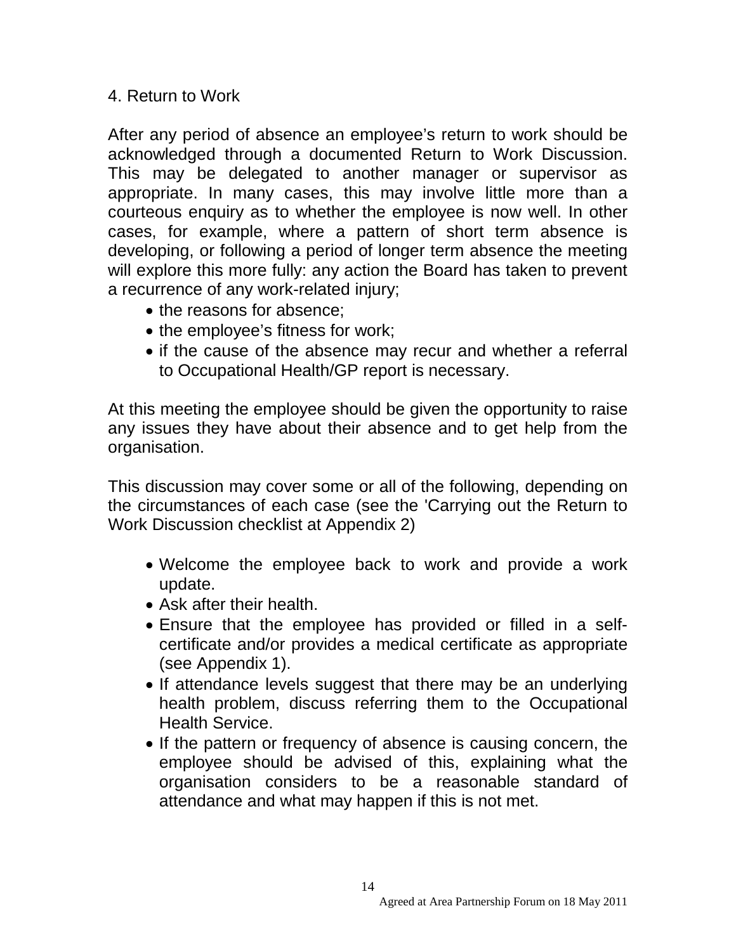## 4. Return to Work

After any period of absence an employee's return to work should be acknowledged through a documented Return to Work Discussion. This may be delegated to another manager or supervisor as appropriate. In many cases, this may involve little more than a courteous enquiry as to whether the employee is now well. In other cases, for example, where a pattern of short term absence is developing, or following a period of longer term absence the meeting will explore this more fully: any action the Board has taken to prevent a recurrence of any work-related injury;

- the reasons for absence;
- the employee's fitness for work;
- if the cause of the absence may recur and whether a referral to Occupational Health/GP report is necessary.

At this meeting the employee should be given the opportunity to raise any issues they have about their absence and to get help from the organisation.

This discussion may cover some or all of the following, depending on the circumstances of each case (see the 'Carrying out the Return to Work Discussion checklist at Appendix 2)

- Welcome the employee back to work and provide a work update.
- Ask after their health.
- Ensure that the employee has provided or filled in a selfcertificate and/or provides a medical certificate as appropriate (see Appendix 1).
- If attendance levels suggest that there may be an underlying health problem, discuss referring them to the Occupational Health Service.
- If the pattern or frequency of absence is causing concern, the employee should be advised of this, explaining what the organisation considers to be a reasonable standard of attendance and what may happen if this is not met.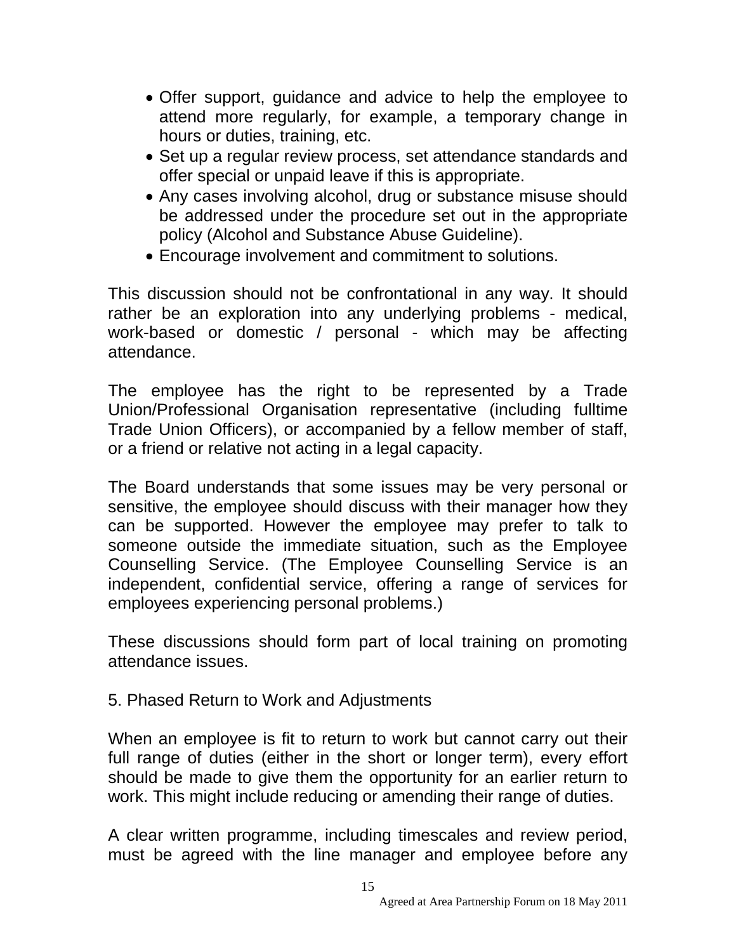- Offer support, guidance and advice to help the employee to attend more regularly, for example, a temporary change in hours or duties, training, etc.
- Set up a regular review process, set attendance standards and offer special or unpaid leave if this is appropriate.
- Any cases involving alcohol, drug or substance misuse should be addressed under the procedure set out in the appropriate policy (Alcohol and Substance Abuse Guideline).
- Encourage involvement and commitment to solutions.

This discussion should not be confrontational in any way. It should rather be an exploration into any underlying problems - medical, work-based or domestic / personal - which may be affecting attendance.

The employee has the right to be represented by a Trade Union/Professional Organisation representative (including fulltime Trade Union Officers), or accompanied by a fellow member of staff, or a friend or relative not acting in a legal capacity.

The Board understands that some issues may be very personal or sensitive, the employee should discuss with their manager how they can be supported. However the employee may prefer to talk to someone outside the immediate situation, such as the Employee Counselling Service. (The Employee Counselling Service is an independent, confidential service, offering a range of services for employees experiencing personal problems.)

These discussions should form part of local training on promoting attendance issues.

5. Phased Return to Work and Adjustments

When an employee is fit to return to work but cannot carry out their full range of duties (either in the short or longer term), every effort should be made to give them the opportunity for an earlier return to work. This might include reducing or amending their range of duties.

A clear written programme, including timescales and review period, must be agreed with the line manager and employee before any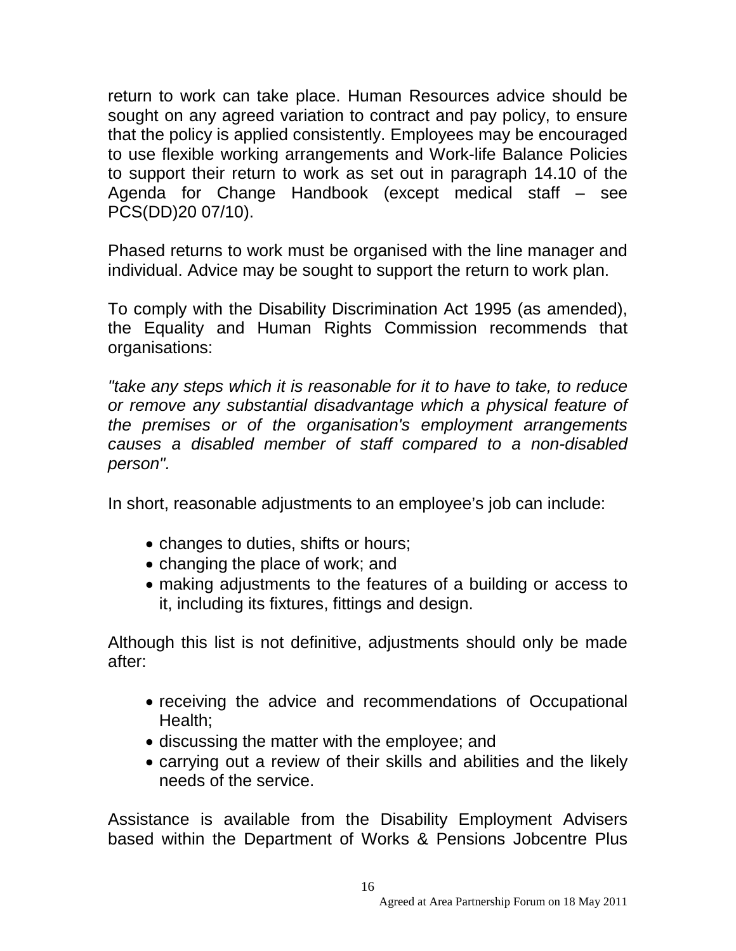return to work can take place. Human Resources advice should be sought on any agreed variation to contract and pay policy, to ensure that the policy is applied consistently. Employees may be encouraged to use flexible working arrangements and Work-life Balance Policies to support their return to work as set out in paragraph 14.10 of the Agenda for Change Handbook (except medical staff – see PCS(DD)20 07/10).

Phased returns to work must be organised with the line manager and individual. Advice may be sought to support the return to work plan.

To comply with the Disability Discrimination Act 1995 (as amended), the Equality and Human Rights Commission recommends that organisations:

*"take any steps which it is reasonable for it to have to take, to reduce or remove any substantial disadvantage which a physical feature of the premises or of the organisation's employment arrangements causes a disabled member of staff compared to a non-disabled person".*

In short, reasonable adjustments to an employee's job can include:

- changes to duties, shifts or hours;
- changing the place of work; and
- making adjustments to the features of a building or access to it, including its fixtures, fittings and design.

Although this list is not definitive, adjustments should only be made after:

- receiving the advice and recommendations of Occupational Health;
- discussing the matter with the employee; and
- carrying out a review of their skills and abilities and the likely needs of the service.

Assistance is available from the Disability Employment Advisers based within the Department of Works & Pensions Jobcentre Plus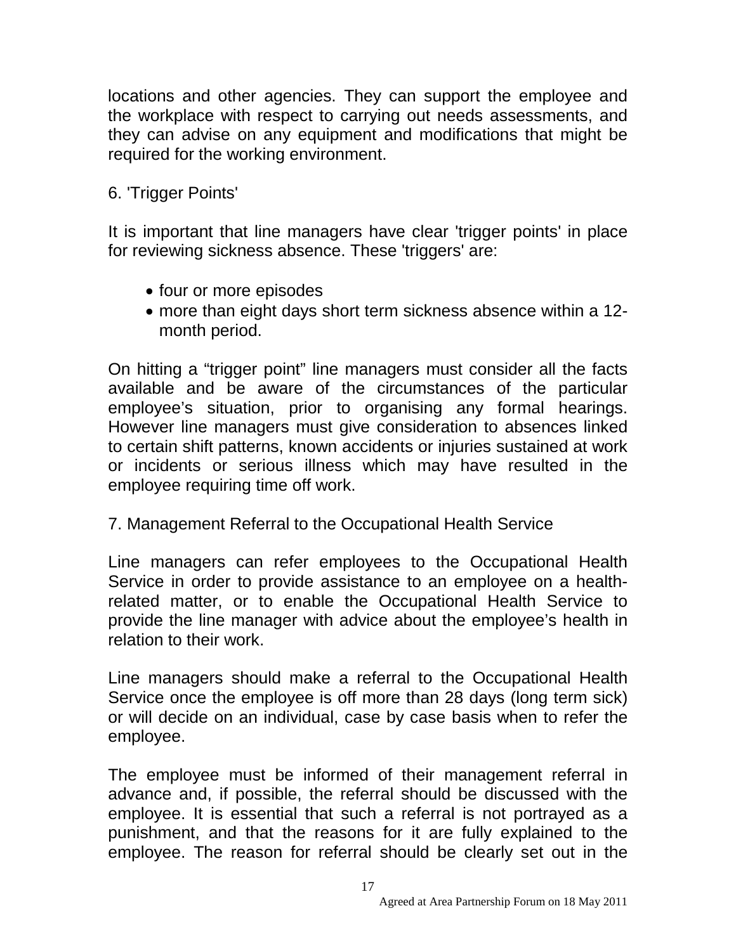locations and other agencies. They can support the employee and the workplace with respect to carrying out needs assessments, and they can advise on any equipment and modifications that might be required for the working environment.

# 6. 'Trigger Points'

It is important that line managers have clear 'trigger points' in place for reviewing sickness absence. These 'triggers' are:

- four or more episodes
- more than eight days short term sickness absence within a 12 month period.

On hitting a "trigger point" line managers must consider all the facts available and be aware of the circumstances of the particular employee's situation, prior to organising any formal hearings. However line managers must give consideration to absences linked to certain shift patterns, known accidents or injuries sustained at work or incidents or serious illness which may have resulted in the employee requiring time off work.

7. Management Referral to the Occupational Health Service

Line managers can refer employees to the Occupational Health Service in order to provide assistance to an employee on a healthrelated matter, or to enable the Occupational Health Service to provide the line manager with advice about the employee's health in relation to their work.

Line managers should make a referral to the Occupational Health Service once the employee is off more than 28 days (long term sick) or will decide on an individual, case by case basis when to refer the employee.

The employee must be informed of their management referral in advance and, if possible, the referral should be discussed with the employee. It is essential that such a referral is not portrayed as a punishment, and that the reasons for it are fully explained to the employee. The reason for referral should be clearly set out in the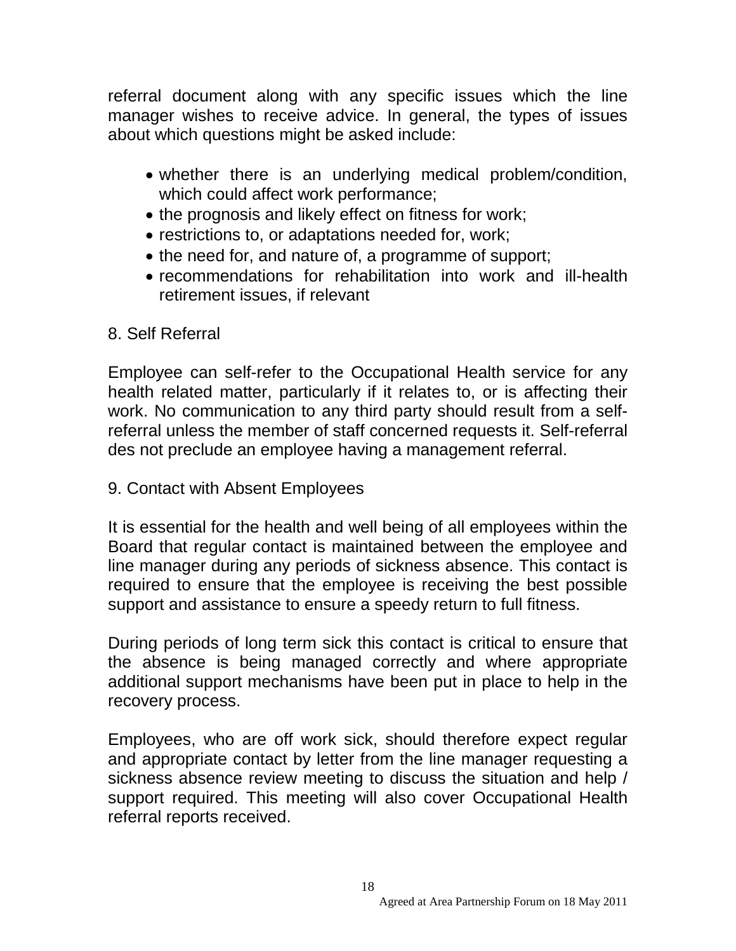referral document along with any specific issues which the line manager wishes to receive advice. In general, the types of issues about which questions might be asked include:

- whether there is an underlying medical problem/condition, which could affect work performance;
- the prognosis and likely effect on fitness for work;
- restrictions to, or adaptations needed for, work;
- the need for, and nature of, a programme of support;
- recommendations for rehabilitation into work and ill-health retirement issues, if relevant

## 8. Self Referral

Employee can self-refer to the Occupational Health service for any health related matter, particularly if it relates to, or is affecting their work. No communication to any third party should result from a selfreferral unless the member of staff concerned requests it. Self-referral des not preclude an employee having a management referral.

9. Contact with Absent Employees

It is essential for the health and well being of all employees within the Board that regular contact is maintained between the employee and line manager during any periods of sickness absence. This contact is required to ensure that the employee is receiving the best possible support and assistance to ensure a speedy return to full fitness.

During periods of long term sick this contact is critical to ensure that the absence is being managed correctly and where appropriate additional support mechanisms have been put in place to help in the recovery process.

Employees, who are off work sick, should therefore expect regular and appropriate contact by letter from the line manager requesting a sickness absence review meeting to discuss the situation and help / support required. This meeting will also cover Occupational Health referral reports received.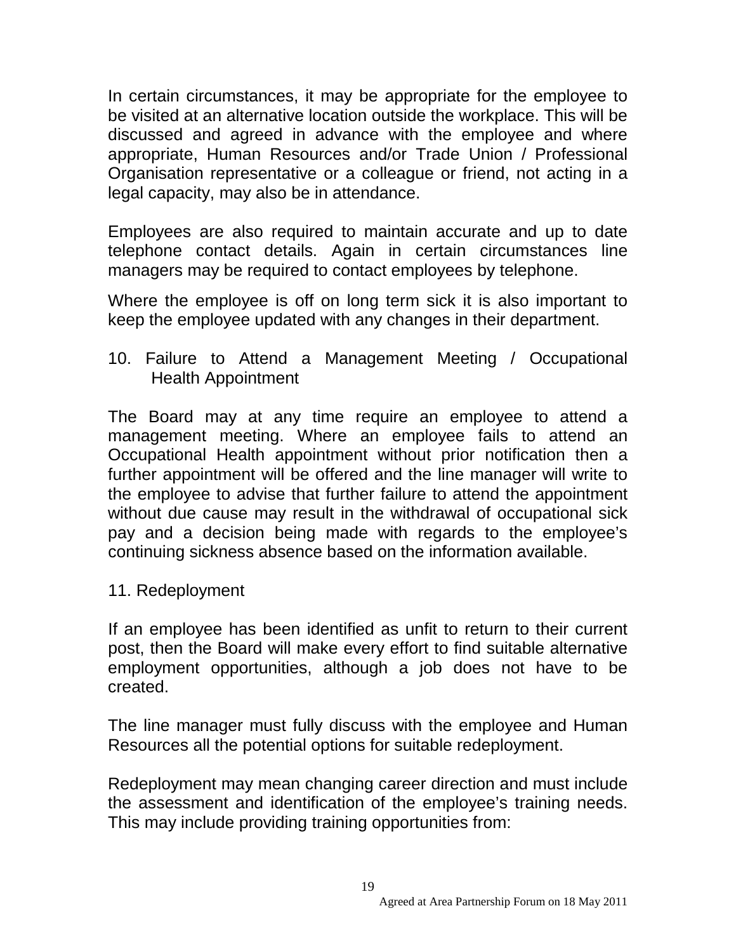In certain circumstances, it may be appropriate for the employee to be visited at an alternative location outside the workplace. This will be discussed and agreed in advance with the employee and where appropriate, Human Resources and/or Trade Union / Professional Organisation representative or a colleague or friend, not acting in a legal capacity, may also be in attendance.

Employees are also required to maintain accurate and up to date telephone contact details. Again in certain circumstances line managers may be required to contact employees by telephone.

Where the employee is off on long term sick it is also important to keep the employee updated with any changes in their department.

10. Failure to Attend a Management Meeting / Occupational Health Appointment

The Board may at any time require an employee to attend a management meeting. Where an employee fails to attend an Occupational Health appointment without prior notification then a further appointment will be offered and the line manager will write to the employee to advise that further failure to attend the appointment without due cause may result in the withdrawal of occupational sick pay and a decision being made with regards to the employee's continuing sickness absence based on the information available.

11. Redeployment

If an employee has been identified as unfit to return to their current post, then the Board will make every effort to find suitable alternative employment opportunities, although a job does not have to be created.

The line manager must fully discuss with the employee and Human Resources all the potential options for suitable redeployment.

Redeployment may mean changing career direction and must include the assessment and identification of the employee's training needs. This may include providing training opportunities from: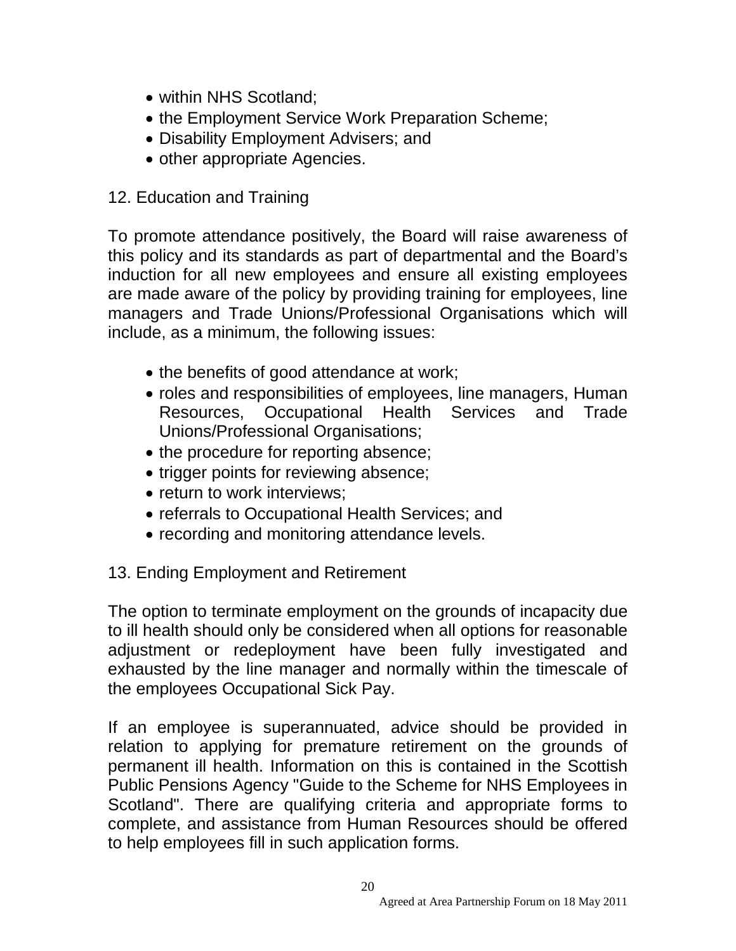- within NHS Scotland;
- the Employment Service Work Preparation Scheme;
- Disability Employment Advisers; and
- other appropriate Agencies.

## 12. Education and Training

To promote attendance positively, the Board will raise awareness of this policy and its standards as part of departmental and the Board's induction for all new employees and ensure all existing employees are made aware of the policy by providing training for employees, line managers and Trade Unions/Professional Organisations which will include, as a minimum, the following issues:

- the benefits of good attendance at work;
- roles and responsibilities of employees, line managers, Human Resources, Occupational Health Services and Trade Unions/Professional Organisations;
- the procedure for reporting absence;
- trigger points for reviewing absence;
- return to work interviews;
- referrals to Occupational Health Services; and
- recording and monitoring attendance levels.

## 13. Ending Employment and Retirement

The option to terminate employment on the grounds of incapacity due to ill health should only be considered when all options for reasonable adjustment or redeployment have been fully investigated and exhausted by the line manager and normally within the timescale of the employees Occupational Sick Pay.

If an employee is superannuated, advice should be provided in relation to applying for premature retirement on the grounds of permanent ill health. Information on this is contained in the Scottish Public Pensions Agency "Guide to the Scheme for NHS Employees in Scotland". There are qualifying criteria and appropriate forms to complete, and assistance from Human Resources should be offered to help employees fill in such application forms.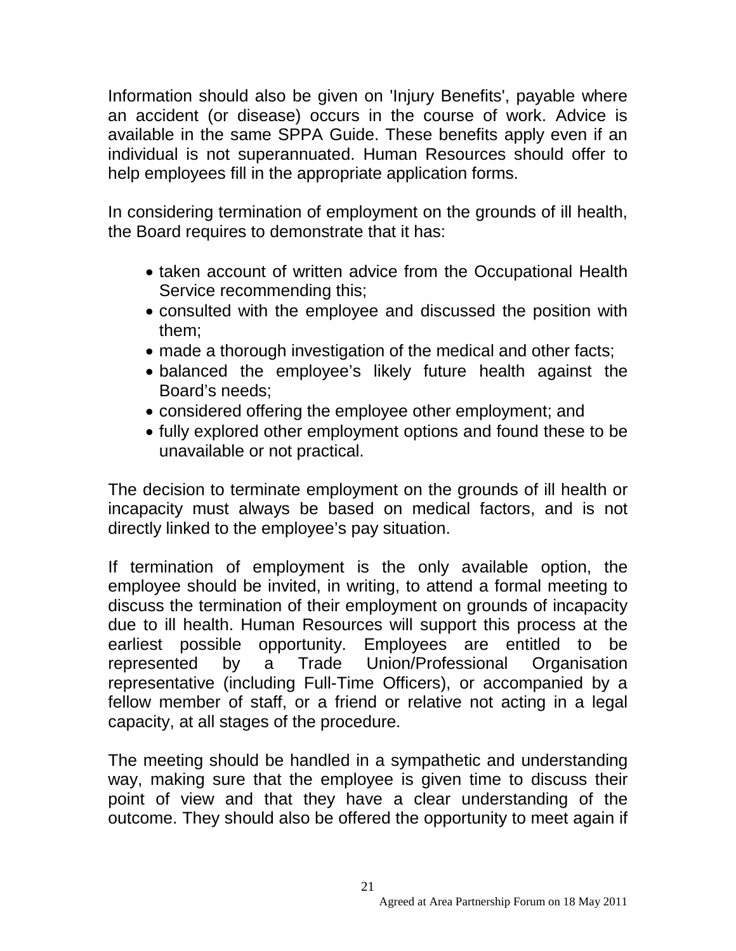Information should also be given on 'Injury Benefits', payable where an accident (or disease) occurs in the course of work. Advice is available in the same SPPA Guide. These benefits apply even if an individual is not superannuated. Human Resources should offer to help employees fill in the appropriate application forms.

In considering termination of employment on the grounds of ill health, the Board requires to demonstrate that it has:

- taken account of written advice from the Occupational Health Service recommending this;
- consulted with the employee and discussed the position with them;
- made a thorough investigation of the medical and other facts;
- balanced the employee's likely future health against the Board's needs;
- considered offering the employee other employment; and
- fully explored other employment options and found these to be unavailable or not practical.

The decision to terminate employment on the grounds of ill health or incapacity must always be based on medical factors, and is not directly linked to the employee's pay situation.

If termination of employment is the only available option, the employee should be invited, in writing, to attend a formal meeting to discuss the termination of their employment on grounds of incapacity due to ill health. Human Resources will support this process at the earliest possible opportunity. Employees are entitled to be represented by a Trade Union/Professional Organisation representative (including Full-Time Officers), or accompanied by a fellow member of staff, or a friend or relative not acting in a legal capacity, at all stages of the procedure.

The meeting should be handled in a sympathetic and understanding way, making sure that the employee is given time to discuss their point of view and that they have a clear understanding of the outcome. They should also be offered the opportunity to meet again if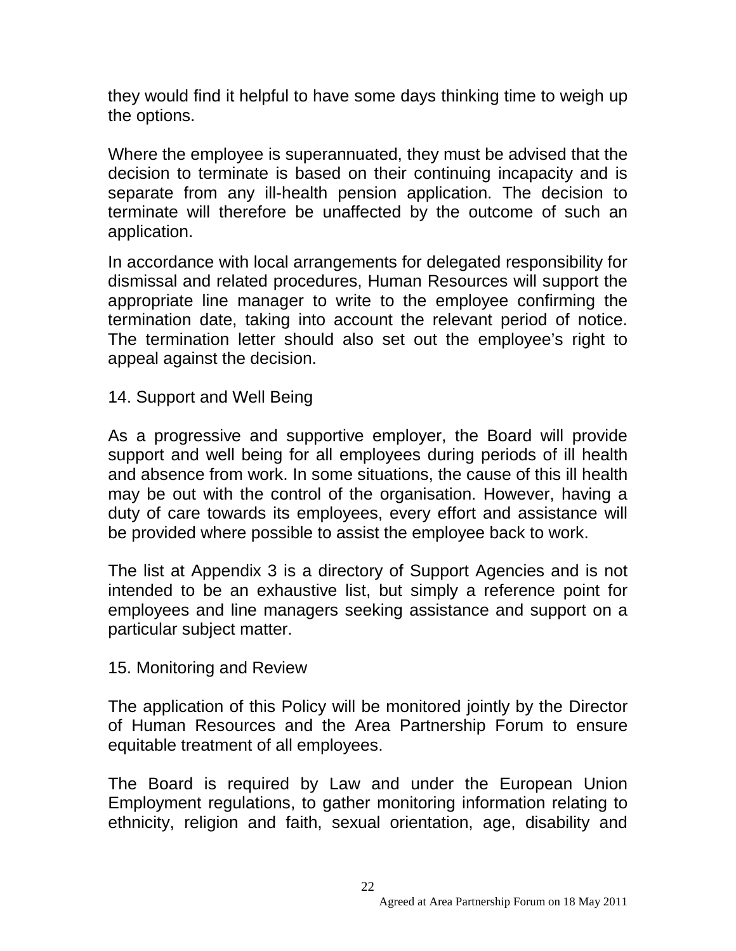they would find it helpful to have some days thinking time to weigh up the options.

Where the employee is superannuated, they must be advised that the decision to terminate is based on their continuing incapacity and is separate from any ill-health pension application. The decision to terminate will therefore be unaffected by the outcome of such an application.

In accordance with local arrangements for delegated responsibility for dismissal and related procedures, Human Resources will support the appropriate line manager to write to the employee confirming the termination date, taking into account the relevant period of notice. The termination letter should also set out the employee's right to appeal against the decision.

14. Support and Well Being

As a progressive and supportive employer, the Board will provide support and well being for all employees during periods of ill health and absence from work. In some situations, the cause of this ill health may be out with the control of the organisation. However, having a duty of care towards its employees, every effort and assistance will be provided where possible to assist the employee back to work.

The list at Appendix 3 is a directory of Support Agencies and is not intended to be an exhaustive list, but simply a reference point for employees and line managers seeking assistance and support on a particular subject matter.

#### 15. Monitoring and Review

The application of this Policy will be monitored jointly by the Director of Human Resources and the Area Partnership Forum to ensure equitable treatment of all employees.

The Board is required by Law and under the European Union Employment regulations, to gather monitoring information relating to ethnicity, religion and faith, sexual orientation, age, disability and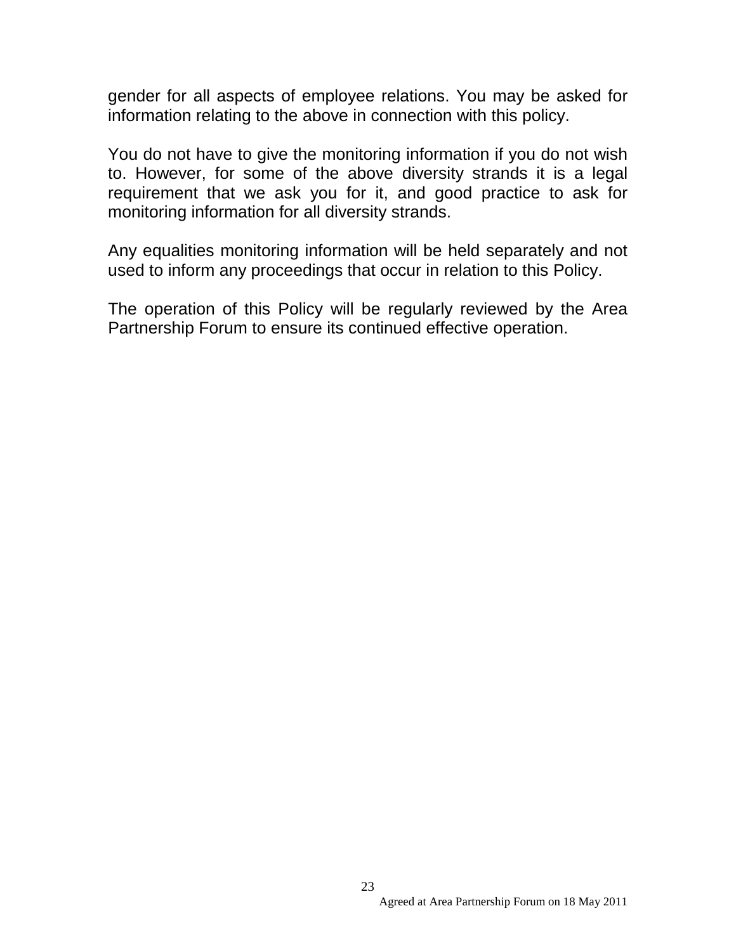gender for all aspects of employee relations. You may be asked for information relating to the above in connection with this policy.

You do not have to give the monitoring information if you do not wish to. However, for some of the above diversity strands it is a legal requirement that we ask you for it, and good practice to ask for monitoring information for all diversity strands.

Any equalities monitoring information will be held separately and not used to inform any proceedings that occur in relation to this Policy.

The operation of this Policy will be regularly reviewed by the Area Partnership Forum to ensure its continued effective operation.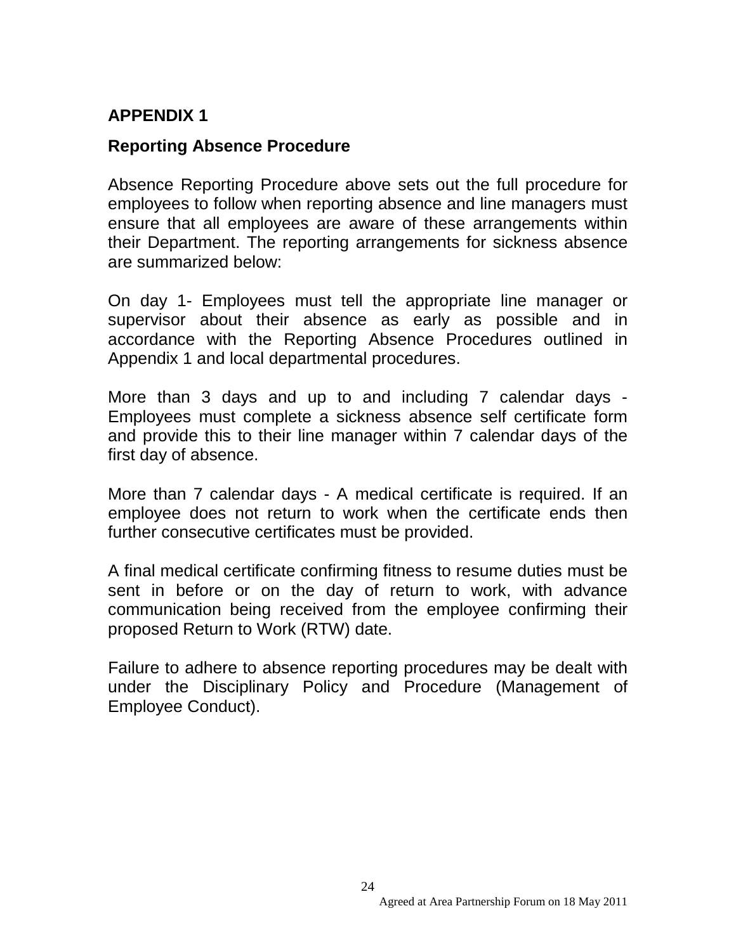## **APPENDIX 1**

#### **Reporting Absence Procedure**

Absence Reporting Procedure above sets out the full procedure for employees to follow when reporting absence and line managers must ensure that all employees are aware of these arrangements within their Department. The reporting arrangements for sickness absence are summarized below:

On day 1- Employees must tell the appropriate line manager or supervisor about their absence as early as possible and in accordance with the Reporting Absence Procedures outlined in Appendix 1 and local departmental procedures.

More than 3 days and up to and including 7 calendar days - Employees must complete a sickness absence self certificate form and provide this to their line manager within 7 calendar days of the first day of absence.

More than 7 calendar days - A medical certificate is required. If an employee does not return to work when the certificate ends then further consecutive certificates must be provided.

A final medical certificate confirming fitness to resume duties must be sent in before or on the day of return to work, with advance communication being received from the employee confirming their proposed Return to Work (RTW) date.

Failure to adhere to absence reporting procedures may be dealt with under the Disciplinary Policy and Procedure (Management of Employee Conduct).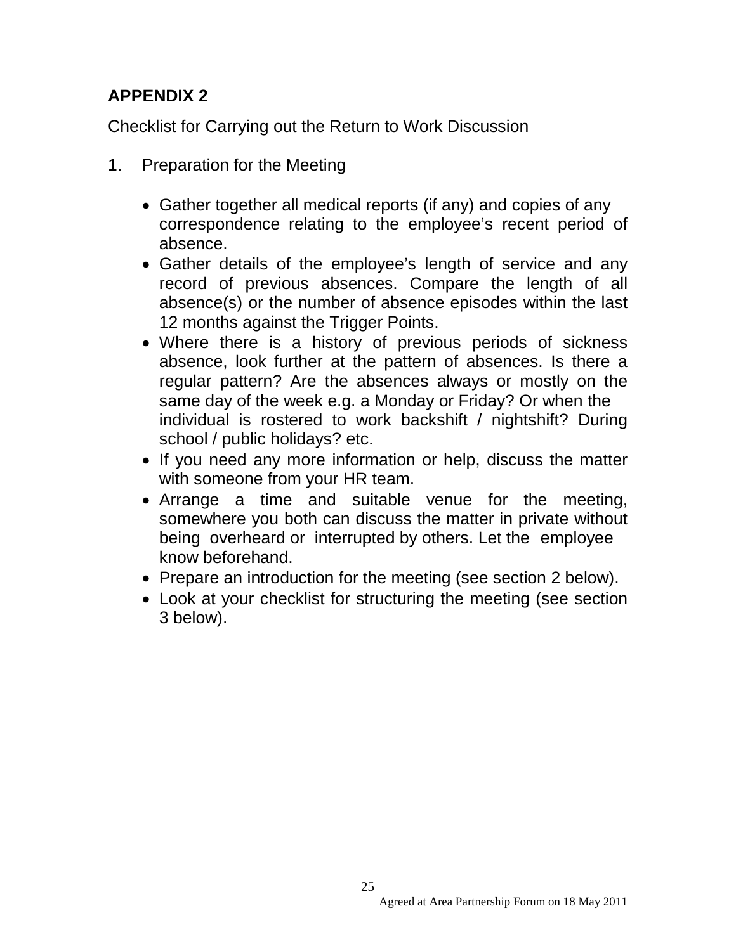## **APPENDIX 2**

Checklist for Carrying out the Return to Work Discussion

- 1. Preparation for the Meeting
	- Gather together all medical reports (if any) and copies of any correspondence relating to the employee's recent period of absence.
	- Gather details of the employee's length of service and any record of previous absences. Compare the length of all absence(s) or the number of absence episodes within the last 12 months against the Trigger Points.
	- Where there is a history of previous periods of sickness absence, look further at the pattern of absences. Is there a regular pattern? Are the absences always or mostly on the same day of the week e.g. a Monday or Friday? Or when the individual is rostered to work backshift / nightshift? During school / public holidays? etc.
	- If you need any more information or help, discuss the matter with someone from your HR team.
	- Arrange a time and suitable venue for the meeting, somewhere you both can discuss the matter in private without being overheard or interrupted by others. Let the employee know beforehand.
	- Prepare an introduction for the meeting (see section 2 below).
	- Look at your checklist for structuring the meeting (see section 3 below).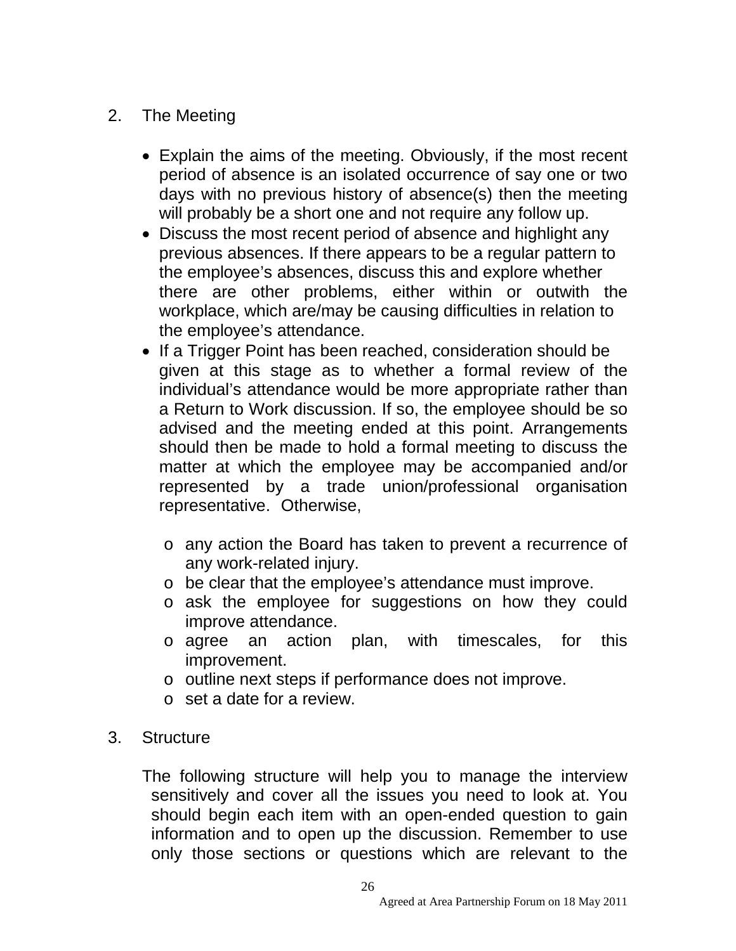## 2. The Meeting

- Explain the aims of the meeting. Obviously, if the most recent period of absence is an isolated occurrence of say one or two days with no previous history of absence(s) then the meeting will probably be a short one and not require any follow up.
- Discuss the most recent period of absence and highlight any previous absences. If there appears to be a regular pattern to the employee's absences, discuss this and explore whether there are other problems, either within or outwith the workplace, which are/may be causing difficulties in relation to the employee's attendance.
- If a Trigger Point has been reached, consideration should be given at this stage as to whether a formal review of the individual's attendance would be more appropriate rather than a Return to Work discussion. If so, the employee should be so advised and the meeting ended at this point. Arrangements should then be made to hold a formal meeting to discuss the matter at which the employee may be accompanied and/or represented by a trade union/professional organisation representative. Otherwise,
	- o any action the Board has taken to prevent a recurrence of any work-related injury.
	- o be clear that the employee's attendance must improve.
	- o ask the employee for suggestions on how they could improve attendance.
	- o agree an action plan, with timescales, for this improvement.
	- o outline next steps if performance does not improve.
	- o set a date for a review.
- 3. Structure

The following structure will help you to manage the interview sensitively and cover all the issues you need to look at. You should begin each item with an open-ended question to gain information and to open up the discussion. Remember to use only those sections or questions which are relevant to the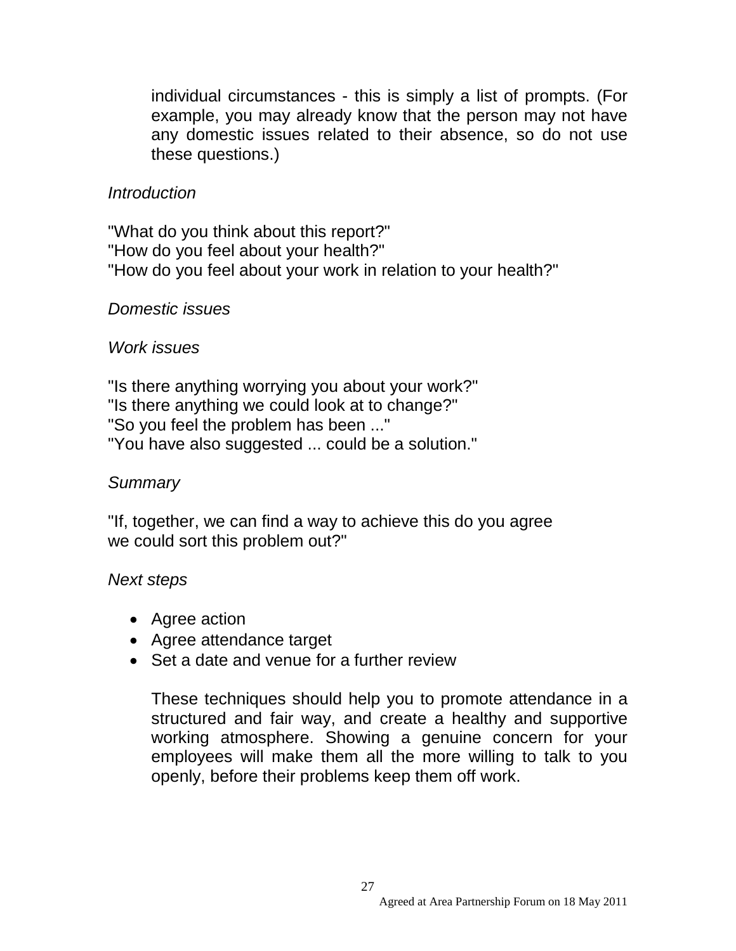individual circumstances - this is simply a list of prompts. (For example, you may already know that the person may not have any domestic issues related to their absence, so do not use these questions.)

## *Introduction*

"What do you think about this report?" "How do you feel about your health?" "How do you feel about your work in relation to your health?"

#### *Domestic issues*

#### *Work issues*

"Is there anything worrying you about your work?" "Is there anything we could look at to change?" "So you feel the problem has been ..." "You have also suggested ... could be a solution."

#### *Summary*

"If, together, we can find a way to achieve this do you agree we could sort this problem out?"

#### *Next steps*

- Agree action
- Agree attendance target
- Set a date and venue for a further review

These techniques should help you to promote attendance in a structured and fair way, and create a healthy and supportive working atmosphere. Showing a genuine concern for your employees will make them all the more willing to talk to you openly, before their problems keep them off work.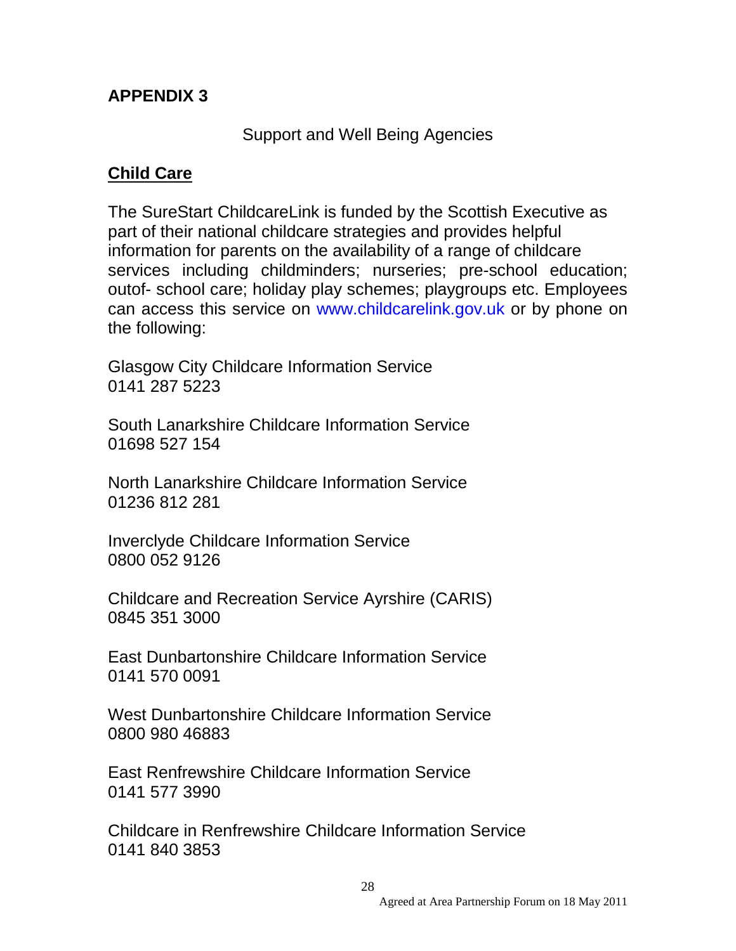## **APPENDIX 3**

Support and Well Being Agencies

## **Child Care**

The SureStart ChildcareLink is funded by the Scottish Executive as part of their national childcare strategies and provides helpful information for parents on the availability of a range of childcare services including childminders; nurseries; pre-school education; outof- school care; holiday play schemes; playgroups etc. Employees can access this service on www.childcarelink.gov.uk or by phone on the following:

Glasgow City Childcare Information Service 0141 287 5223

South Lanarkshire Childcare Information Service 01698 527 154

North Lanarkshire Childcare Information Service 01236 812 281

Inverclyde Childcare Information Service 0800 052 9126

Childcare and Recreation Service Ayrshire (CARIS) 0845 351 3000

East Dunbartonshire Childcare Information Service 0141 570 0091

West Dunbartonshire Childcare Information Service 0800 980 46883

East Renfrewshire Childcare Information Service 0141 577 3990

Childcare in Renfrewshire Childcare Information Service 0141 840 3853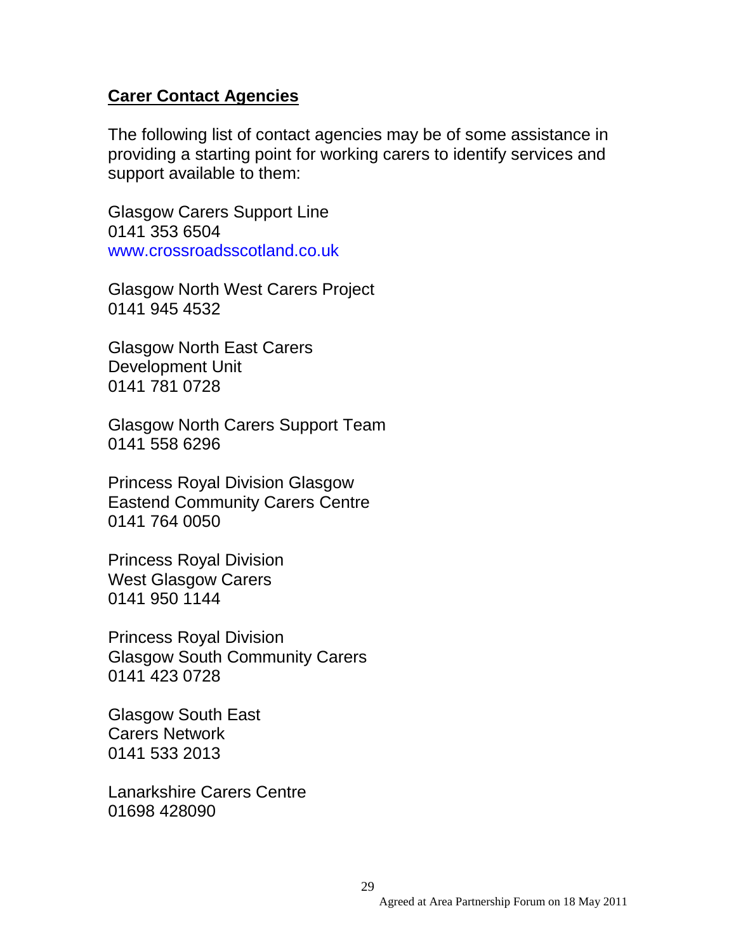#### **Carer Contact Agencies**

The following list of contact agencies may be of some assistance in providing a starting point for working carers to identify services and support available to them:

Glasgow Carers Support Line 0141 353 6504 www.crossroadsscotland.co.uk

Glasgow North West Carers Project 0141 945 4532

Glasgow North East Carers Development Unit 0141 781 0728

Glasgow North Carers Support Team 0141 558 6296

Princess Royal Division Glasgow Eastend Community Carers Centre 0141 764 0050

Princess Royal Division West Glasgow Carers 0141 950 1144

Princess Royal Division Glasgow South Community Carers 0141 423 0728

Glasgow South East Carers Network 0141 533 2013

Lanarkshire Carers Centre 01698 428090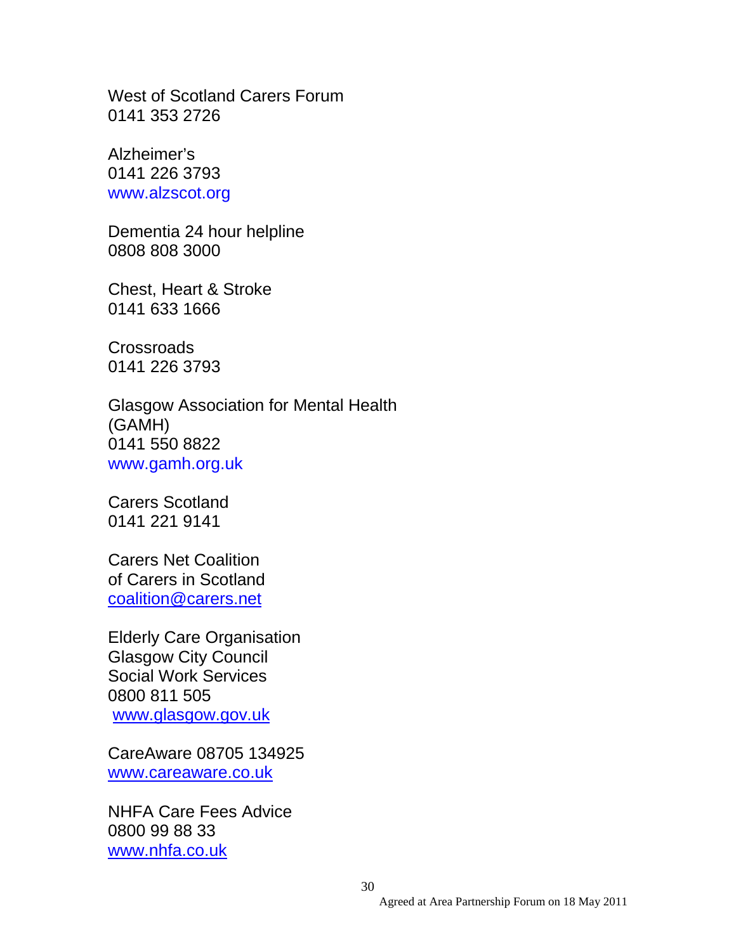West of Scotland Carers Forum 0141 353 2726

Alzheimer's 0141 226 3793 www.alzscot.org

Dementia 24 hour helpline 0808 808 3000

Chest, Heart & Stroke 0141 633 1666

**Crossroads** 0141 226 3793

Glasgow Association for Mental Health (GAMH) 0141 550 8822 www.gamh.org.uk

Carers Scotland 0141 221 9141

Carers Net Coalition of Carers in Scotland [coalition@carers.net](mailto:coalition@carers.net)

Elderly Care Organisation Glasgow City Council Social Work Services 0800 811 505 [www.glasgow.gov.uk](http://www.glasgow.gov.uk/)

CareAware 08705 134925 [www.careaware.co.uk](http://www.careaware.co.uk/)

NHFA Care Fees Advice 0800 99 88 33 [www.nhfa.co.uk](http://www.nhfa.co.uk/)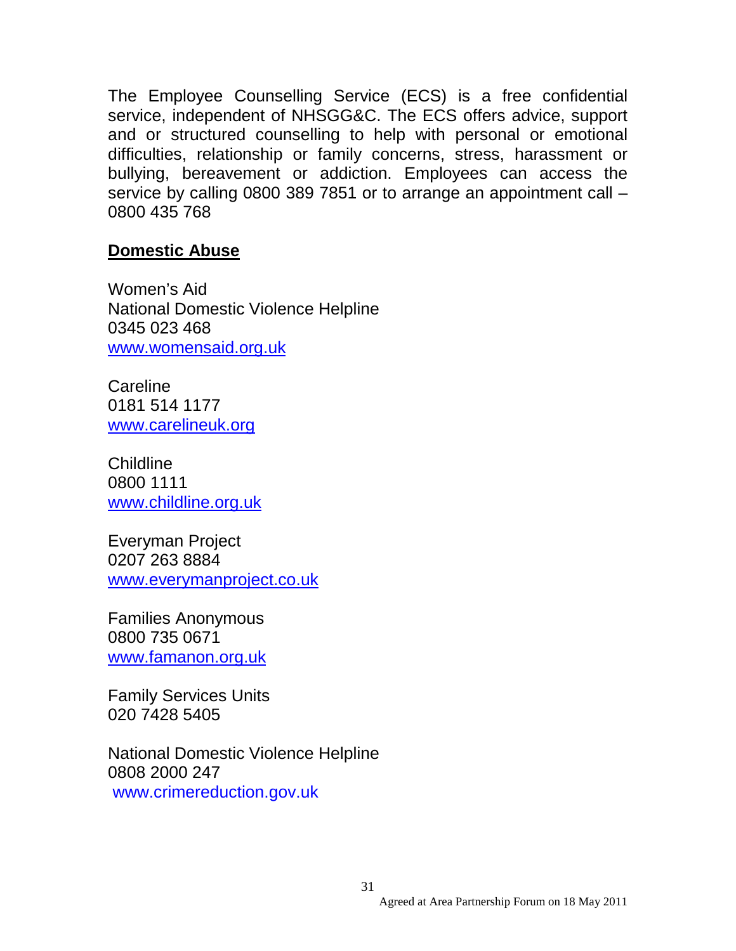The Employee Counselling Service (ECS) is a free confidential service, independent of NHSGG&C. The ECS offers advice, support and or structured counselling to help with personal or emotional difficulties, relationship or family concerns, stress, harassment or bullying, bereavement or addiction. Employees can access the service by calling 0800 389 7851 or to arrange an appointment call – 0800 435 768

#### **Domestic Abuse**

Women's Aid National Domestic Violence Helpline 0345 023 468 [www.womensaid.org.uk](http://www.womensaid.org.uk/)

**Careline** 0181 514 1177 [www.carelineuk.org](http://www.carelineuk.org/)

Childline 0800 1111 [www.childline.org.uk](http://www.childline.org.uk/)

Everyman Project 0207 263 8884 [www.everymanproject.co.uk](http://www.everymanproject.co.uk/)

Families Anonymous 0800 735 0671 [www.famanon.org.uk](http://www.famanon.org.uk/)

Family Services Units 020 7428 5405

National Domestic Violence Helpline 0808 2000 247 www.crimereduction.gov.uk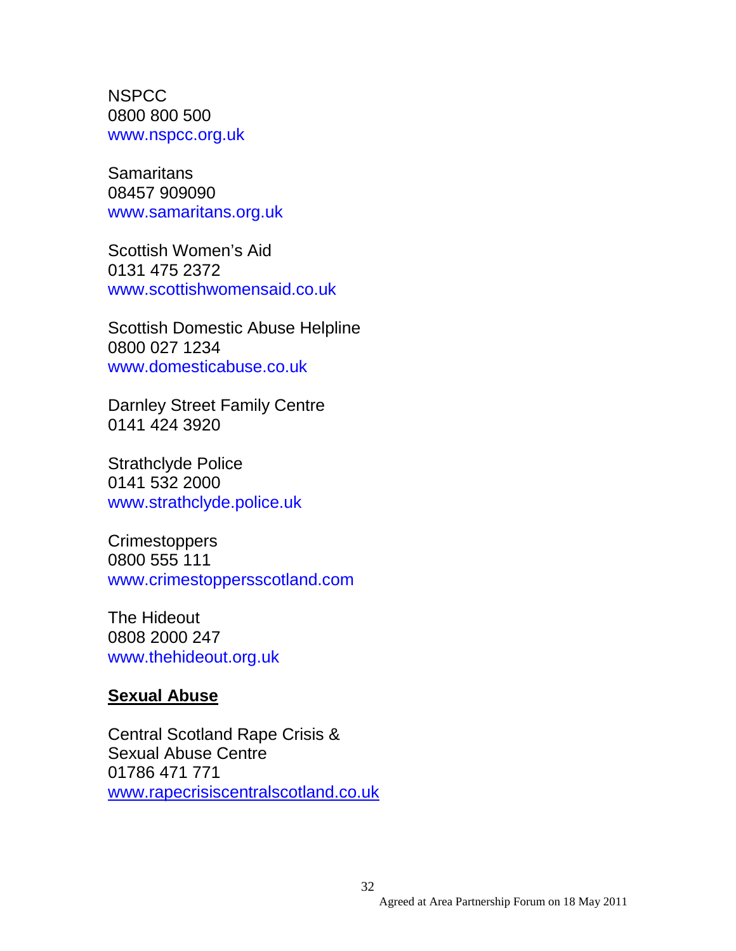**NSPCC** 0800 800 500 www.nspcc.org.uk

**Samaritans** 08457 909090 www.samaritans.org.uk

Scottish Women's Aid 0131 475 2372 www.scottishwomensaid.co.uk

Scottish Domestic Abuse Helpline 0800 027 1234 www.domesticabuse.co.uk

Darnley Street Family Centre 0141 424 3920

Strathclyde Police 0141 532 2000 www.strathclyde.police.uk

Crimestoppers 0800 555 111 www.crimestoppersscotland.com

The Hideout 0808 2000 247 www.thehideout.org.uk

#### **Sexual Abuse**

Central Scotland Rape Crisis & Sexual Abuse Centre 01786 471 771 [www.rapecrisiscentralscotland.co.uk](http://www.rapecrisiscentralscotland.co.uk/)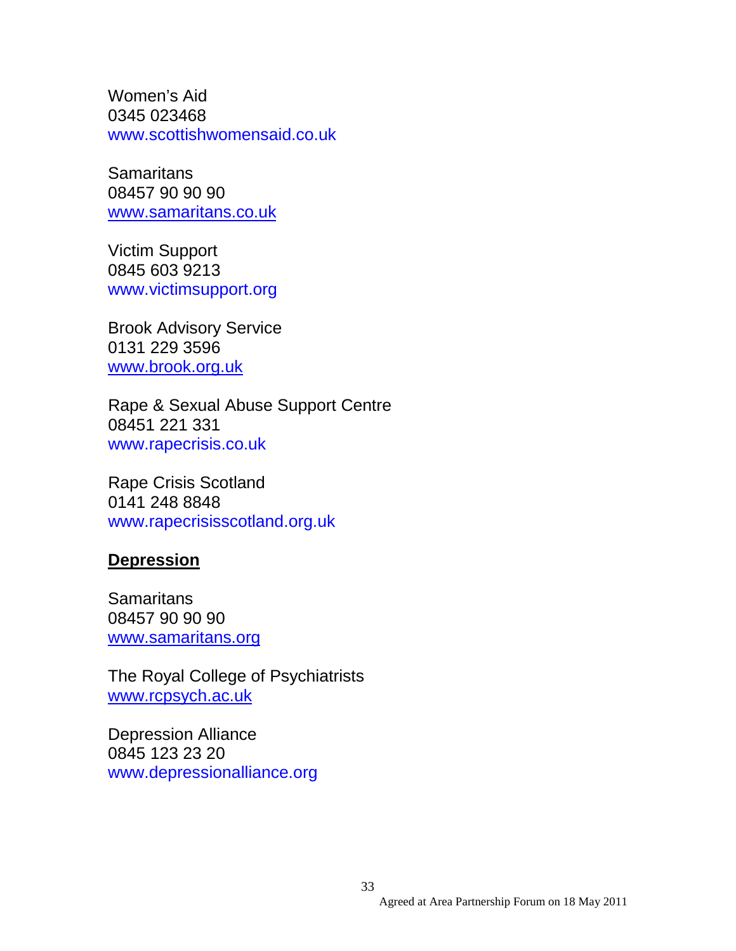Women's Aid 0345 023468 www.scottishwomensaid.co.uk

**Samaritans** 08457 90 90 90 [www.samaritans.co.uk](http://www.samaritans.co.uk/)

Victim Support 0845 603 9213 www.victimsupport.org

Brook Advisory Service 0131 229 3596 [www.brook.org.uk](http://www.brook.org.uk/)

Rape & Sexual Abuse Support Centre 08451 221 331 www.rapecrisis.co.uk

Rape Crisis Scotland 0141 248 8848 www.rapecrisisscotland.org.uk

#### **Depression**

**Samaritans** 08457 90 90 90 [www.samaritans.org](http://www.samaritans.org/)

The Royal College of Psychiatrists [www.rcpsych.ac.uk](http://www.rcpsych.ac.uk/)

Depression Alliance 0845 123 23 20 www.depressionalliance.org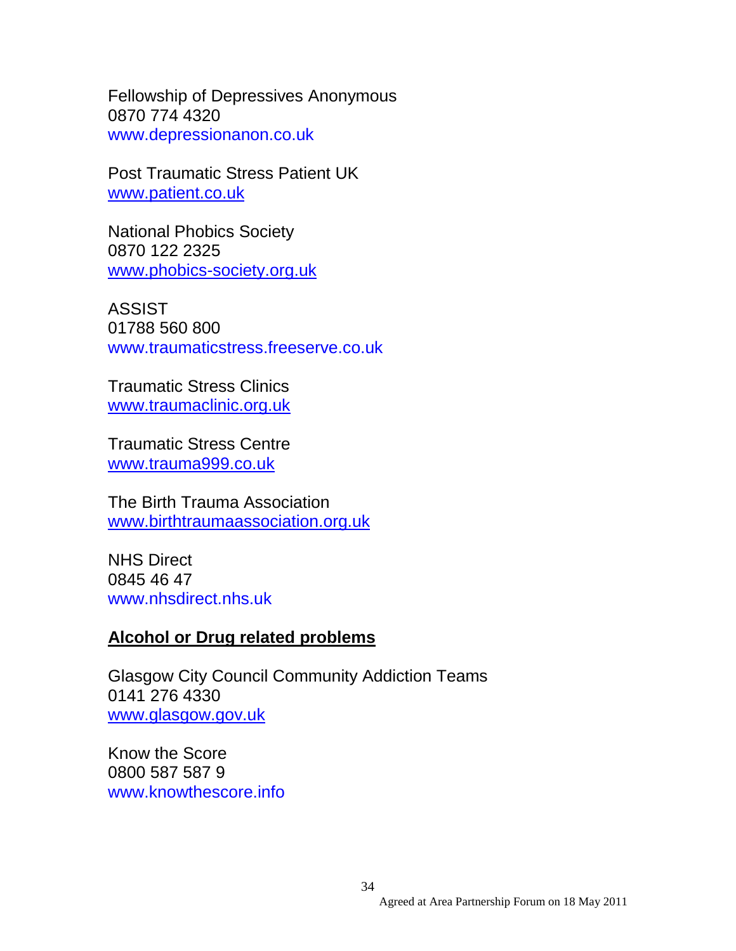Fellowship of Depressives Anonymous 0870 774 4320 www.depressionanon.co.uk

Post Traumatic Stress Patient UK [www.patient.co.uk](http://www.patient.co.uk/)

National Phobics Society 0870 122 2325 [www.phobics-society.org.uk](http://www.phobics-society.org.uk/)

ASSIST 01788 560 800 www.traumaticstress.freeserve.co.uk

Traumatic Stress Clinics [www.traumaclinic.org.uk](http://www.traumaclinic.org.uk/)

Traumatic Stress Centre [www.trauma999.co.uk](http://www.trauma999.co.uk/)

The Birth Trauma Association [www.birthtraumaassociation.org.uk](http://www.birthtraumaassociation.org.uk/)

NHS Direct 0845 46 47 www.nhsdirect.nhs.uk

#### **Alcohol or Drug related problems**

Glasgow City Council Community Addiction Teams 0141 276 4330 [www.glasgow.gov.uk](http://www.glasgow.gov.uk/)

Know the Score 0800 587 587 9 www.knowthescore.info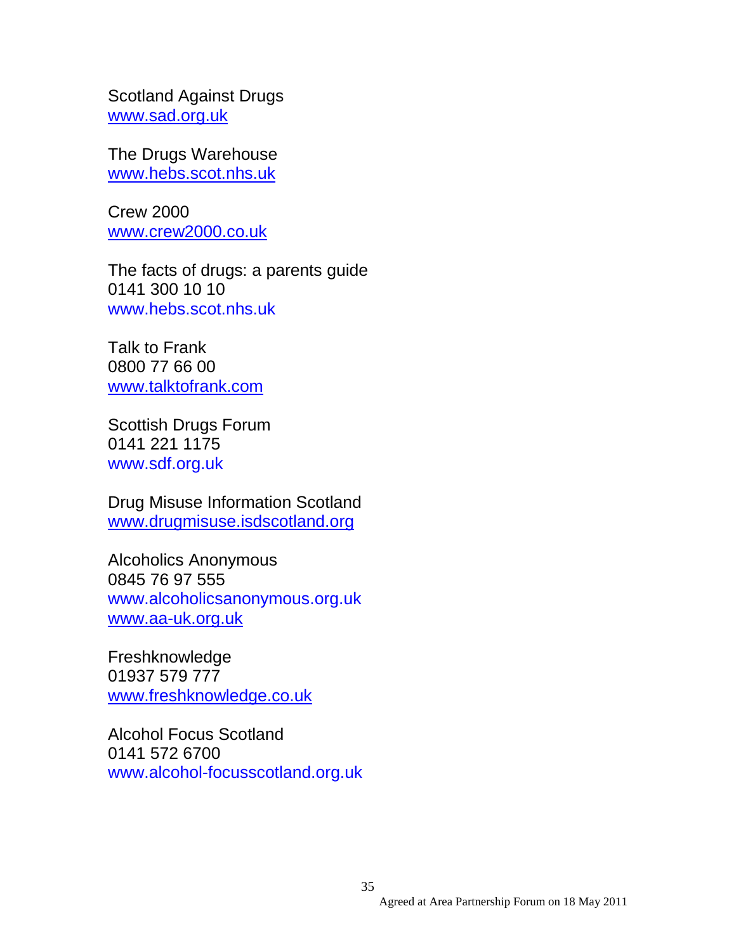Scotland Against Drugs [www.sad.org.uk](http://www.sad.org.uk/)

The Drugs Warehouse [www.hebs.scot.nhs.uk](http://www.hebs.scot.nhs.uk/)

Crew 2000 [www.crew2000.co.uk](http://www.crew2000.co.uk/)

The facts of drugs: a parents guide 0141 300 10 10 www.hebs.scot.nhs.uk

Talk to Frank 0800 77 66 00 [www.talktofrank.com](http://www.talktofrank.com/)

Scottish Drugs Forum 0141 221 1175 www.sdf.org.uk

Drug Misuse Information Scotland [www.drugmisuse.isdscotland.org](http://www.drugmisuse.isdscotland.org/)

Alcoholics Anonymous 0845 76 97 555 www.alcoholicsanonymous.org.uk [www.aa-uk.org.uk](http://www.aa-uk.org.uk/)

Freshknowledge 01937 579 777 [www.freshknowledge.co.uk](http://www.freshknowledge.co.uk/)

Alcohol Focus Scotland 0141 572 6700 www.alcohol-focusscotland.org.uk